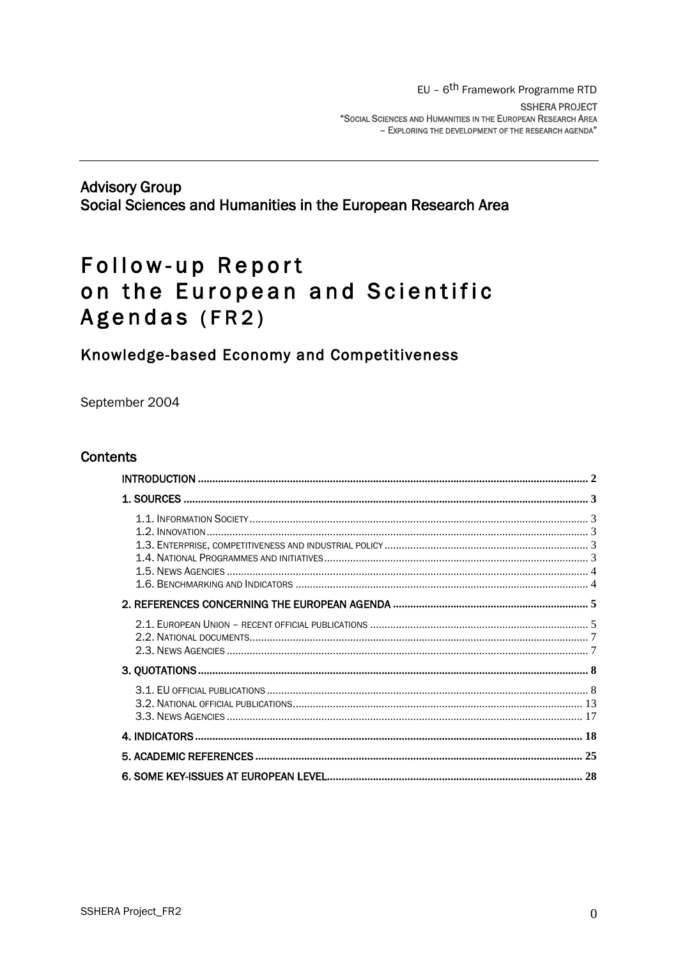## **Advisory Group** Social Sciences and Humanities in the European Research Area

# Follow-up Report on the European and Scientific Agendas (FR2)

## Knowledge-based Economy and Competitiveness

September 2004

## **Contents**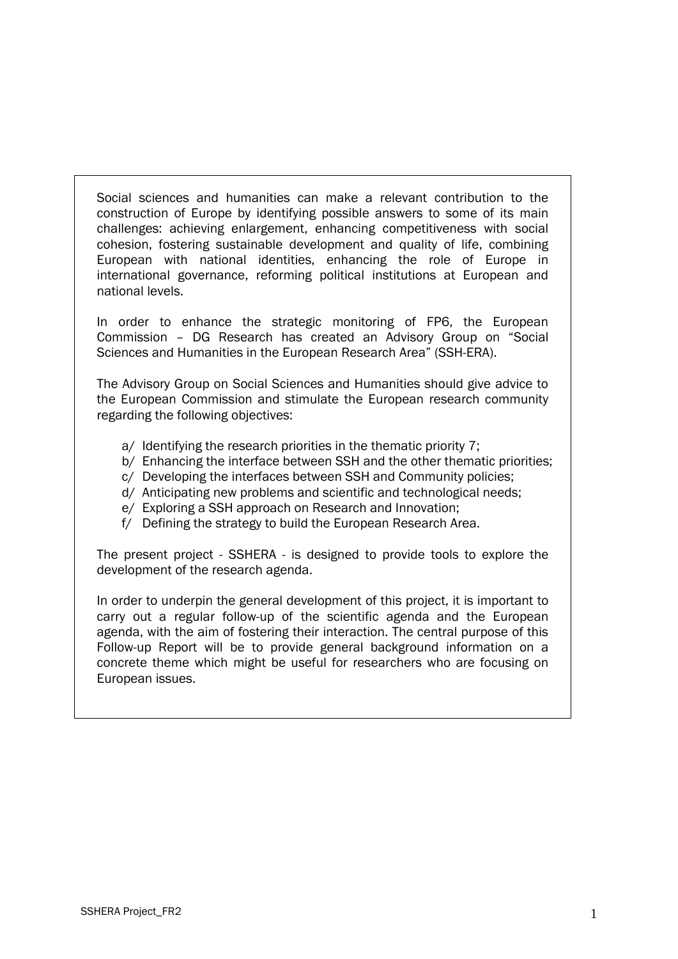Social sciences and humanities can make a relevant contribution to the construction of Europe by identifying possible answers to some of its main challenges: achieving enlargement, enhancing competitiveness with social cohesion, fostering sustainable development and quality of life, combining European with national identities, enhancing the role of Europe in international governance, reforming political institutions at European and national levels.

In order to enhance the strategic monitoring of FP6, the European Commission – DG Research has created an Advisory Group on "Social Sciences and Humanities in the European Research Area" (SSH-ERA).

The Advisory Group on Social Sciences and Humanities should give advice to the European Commission and stimulate the European research community regarding the following objectives:

- a/ Identifying the research priorities in the thematic priority 7;
- b/ Enhancing the interface between SSH and the other thematic priorities;
- c/ Developing the interfaces between SSH and Community policies;
- d/ Anticipating new problems and scientific and technological needs;
- e/ Exploring a SSH approach on Research and Innovation;
- f/ Defining the strategy to build the European Research Area.

The present project - SSHERA - is designed to provide tools to explore the development of the research agenda.

In order to underpin the general development of this project, it is important to carry out a regular follow-up of the scientific agenda and the European agenda, with the aim of fostering their interaction. The central purpose of this Follow-up Report will be to provide general background information on a concrete theme which might be useful for researchers who are focusing on European issues.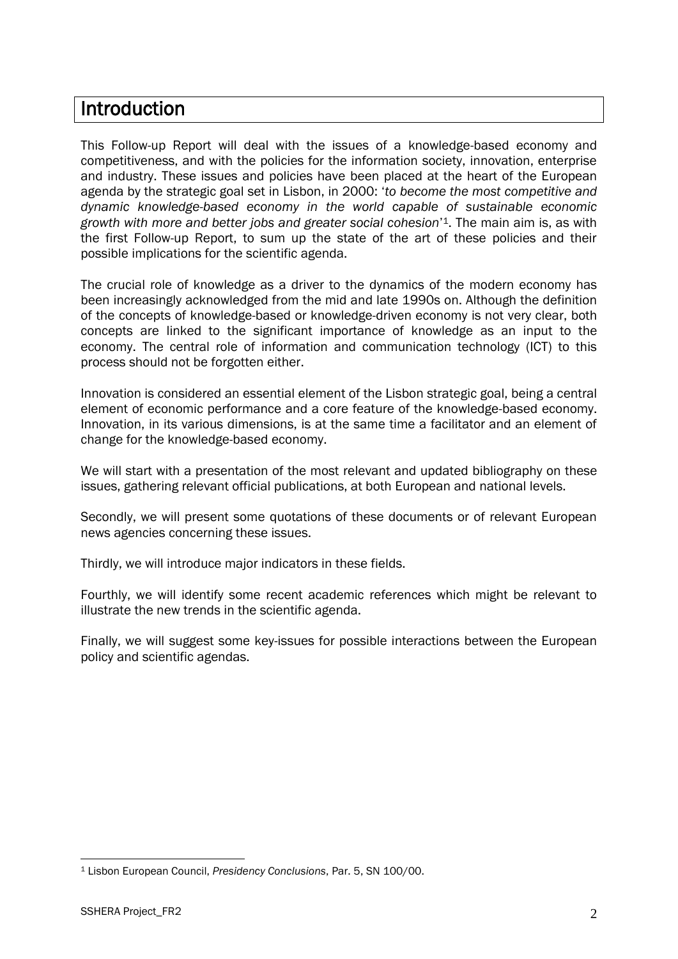## <span id="page-2-0"></span>Introduction

This Follow-up Report will deal with the issues of a knowledge-based economy and competitiveness, and with the policies for the information society, innovation, enterprise and industry. These issues and policies have been placed at the heart of the European agenda by the strategic goal set in Lisbon, in 2000: "*to become the most competitive and dynamic knowledge-based economy in the world capable of sustainable economic growth with more and better jobs and greater social cohesion*" <sup>1</sup>. The main aim is, as with the first Follow-up Report, to sum up the state of the art of these policies and their possible implications for the scientific agenda.

The crucial role of knowledge as a driver to the dynamics of the modern economy has been increasingly acknowledged from the mid and late 1990s on. Although the definition of the concepts of knowledge-based or knowledge-driven economy is not very clear, both concepts are linked to the significant importance of knowledge as an input to the economy. The central role of information and communication technology (ICT) to this process should not be forgotten either.

Innovation is considered an essential element of the Lisbon strategic goal, being a central element of economic performance and a core feature of the knowledge-based economy. Innovation, in its various dimensions, is at the same time a facilitator and an element of change for the knowledge-based economy.

We will start with a presentation of the most relevant and updated bibliography on these issues, gathering relevant official publications, at both European and national levels.

Secondly, we will present some quotations of these documents or of relevant European news agencies concerning these issues.

Thirdly, we will introduce major indicators in these fields.

Fourthly, we will identify some recent academic references which might be relevant to illustrate the new trends in the scientific agenda.

Finally, we will suggest some key-issues for possible interactions between the European policy and scientific agendas.

 $\overline{a}$ 

<sup>1</sup> Lisbon European Council, *Presidency Conclusions*, Par. 5, SN 100/00.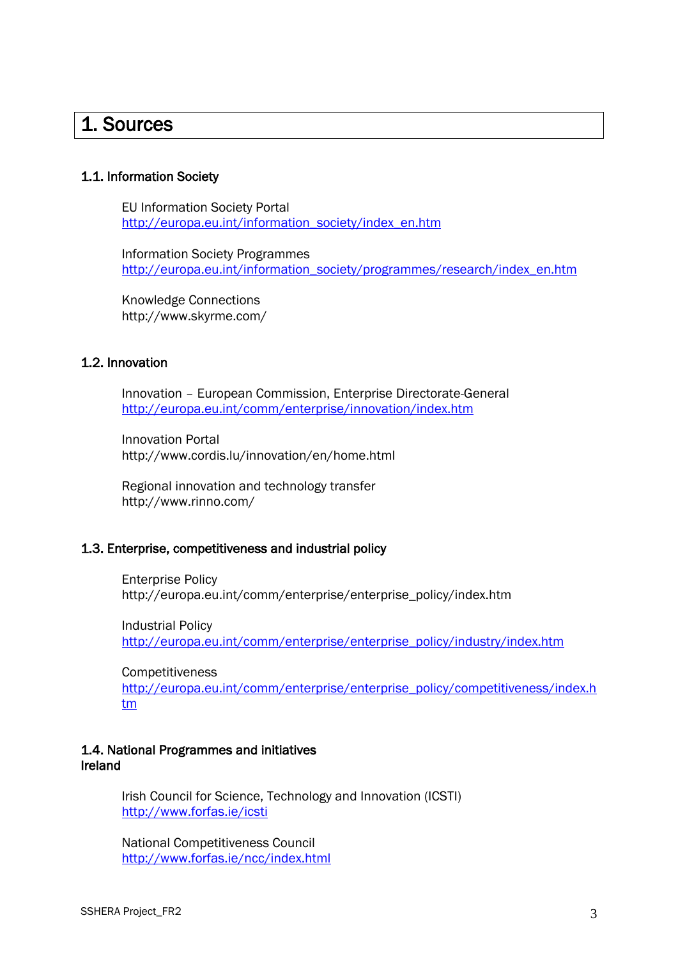## <span id="page-3-0"></span>1. Sources

#### <span id="page-3-1"></span>1.1. Information Society

EU Information Society Portal [http://europa.eu.int/information\\_society/index\\_en.htm](http://europa.eu.int/information_society/index_en.htm)

Information Society Programmes [http://europa.eu.int/information\\_society/programmes/research/index\\_en.htm](http://europa.eu.int/information_society/programmes/research/index_en.htm)

Knowledge Connections http://www.skyrme.com/

#### <span id="page-3-2"></span>1.2. Innovation

Innovation – European Commission, Enterprise Directorate-General <http://europa.eu.int/comm/enterprise/innovation/index.htm>

Innovation Portal http://www.cordis.lu/innovation/en/home.html

Regional innovation and technology transfer http://www.rinno.com/

### <span id="page-3-3"></span>1.3. Enterprise, competitiveness and industrial policy

Enterprise Policy http://europa.eu.int/comm/enterprise/enterprise\_policy/index.htm

Industrial Policy [http://europa.eu.int/comm/enterprise/enterprise\\_policy/industry/index.htm](http://europa.eu.int/comm/enterprise/enterprise_policy/industry/index.htm)

**Competitiveness** 

[http://europa.eu.int/comm/enterprise/enterprise\\_policy/competitiveness/index.h](http://europa.eu.int/comm/enterprise/enterprise_policy/competitiveness/index.htm) [tm](http://europa.eu.int/comm/enterprise/enterprise_policy/competitiveness/index.htm)

### <span id="page-3-4"></span>1.4. National Programmes and initiatives Ireland

Irish Council for Science, Technology and Innovation (ICSTI) <http://www.forfas.ie/icsti>

National Competitiveness Council <http://www.forfas.ie/ncc/index.html>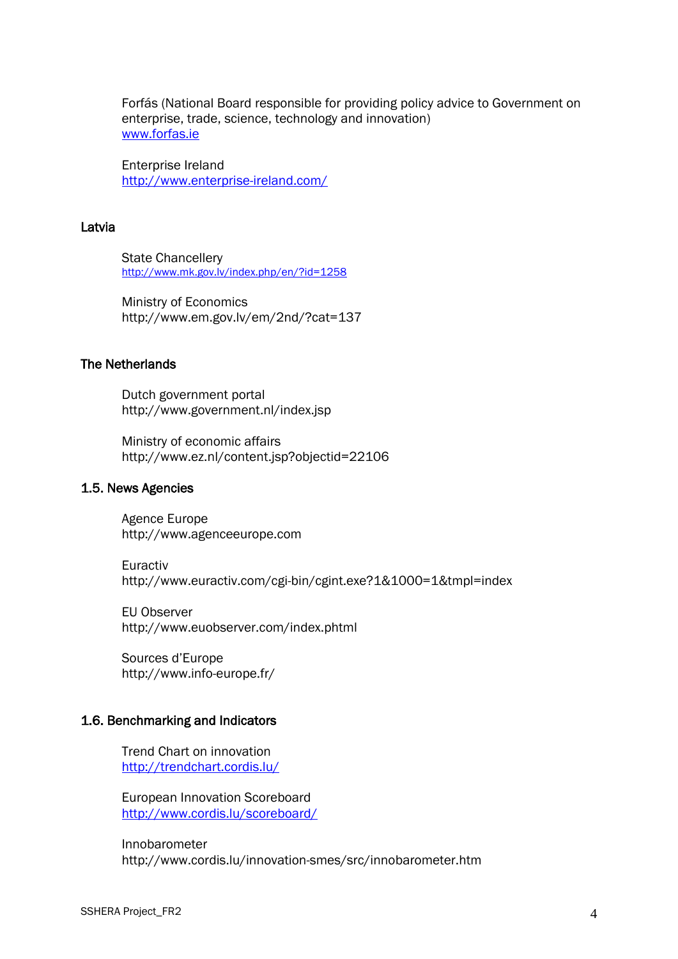Forfás (National Board responsible for providing policy advice to Government on enterprise, trade, science, technology and innovation) [www.forfas.ie](http://www.forfas.ie/)

Enterprise Ireland <http://www.enterprise-ireland.com/>

#### Latvia

State Chancellery <http://www.mk.gov.lv/index.php/en/?id=1258>

Ministry of Economics http://www.em.gov.lv/em/2nd/?cat=137

### The Netherlands

Dutch government portal http://www.government.nl/index.jsp

Ministry of economic affairs http://www.ez.nl/content.jsp?objectid=22106

#### <span id="page-4-0"></span>1.5. News Agencies

Agence Europe http://www.agenceeurope.com

Euractiv http://www.euractiv.com/cgi-bin/cgint.exe?1&1000=1&tmpl=index

EU Observer http://www.euobserver.com/index.phtml

Sources d"Europe http://www.info-europe.fr/

#### <span id="page-4-1"></span>1.6. Benchmarking and Indicators

Trend Chart on innovation <http://trendchart.cordis.lu/>

European Innovation Scoreboard <http://www.cordis.lu/scoreboard/>

Innobarometer http://www.cordis.lu/innovation-smes/src/innobarometer.htm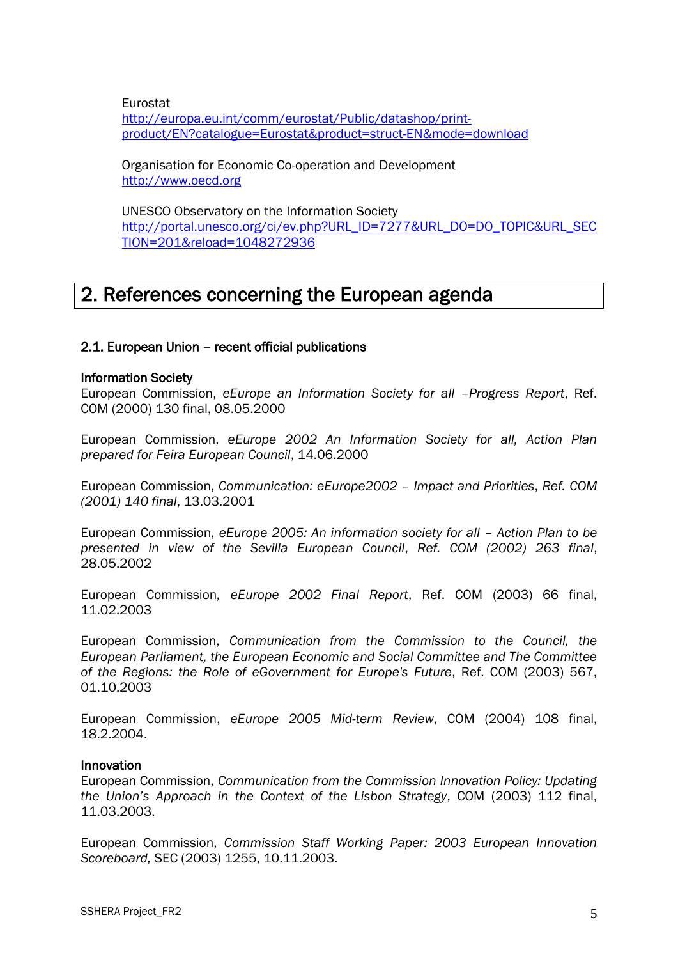Eurostat [http://europa.eu.int/comm/eurostat/Public/datashop/print](http://europa.eu.int/comm/eurostat/Public/datashop/print-product/EN?catalogue=Eurostat&product=struct-EN&mode=download)[product/EN?catalogue=Eurostat&product=struct-EN&mode=download](http://europa.eu.int/comm/eurostat/Public/datashop/print-product/EN?catalogue=Eurostat&product=struct-EN&mode=download)

Organisation for Economic Co-operation and Development [http://www.oecd.org](http://www.oecd.org/)

UNESCO Observatory on the Information Society [http://portal.unesco.org/ci/ev.php?URL\\_ID=7277&URL\\_DO=DO\\_TOPIC&URL\\_SEC](http://portal.unesco.org/ci/ev.php?URL_ID=7277&URL_DO=DO_TOPIC&URL_SECTION=201&reload=1048272936) [TION=201&reload=1048272936](http://portal.unesco.org/ci/ev.php?URL_ID=7277&URL_DO=DO_TOPIC&URL_SECTION=201&reload=1048272936)

## <span id="page-5-0"></span>2. References concerning the European agenda

## <span id="page-5-1"></span>2.1. European Union – recent official publications

#### Information Society

European Commission, *eEurope an Information Society for all –Progress Report*, Ref. COM (2000) 130 final, 08.05.2000

European Commission, *eEurope 2002 An Information Society for all, Action Plan prepared for Feira European Council*, 14.06.2000

European Commission, *Communication: eEurope2002 – Impact and Priorities*, *Ref. COM (2001) 140 final*, 13.03.2001

European Commission, *eEurope 2005: An information society for all – Action Plan to be presented in view of the Sevilla European Council*, *Ref. COM (2002) 263 final*, 28.05.2002

European Commission*, eEurope 2002 Final Report*, Ref. COM (2003) 66 final, 11.02.2003

European Commission, *Communication from the Commission to the Council, the European Parliament, the European Economic and Social Committee and The Committee of the Regions: the Role of eGovernment for Europe's Future*, Ref. COM (2003) 567, 01.10.2003

European Commission, *eEurope 2005 Mid-term Review*, COM (2004) 108 final, 18.2.2004.

#### Innovation

European Commission, *Communication from the Commission Innovation Policy: Updating the Union"s Approach in the Context of the Lisbon Strategy*, COM (2003) 112 final, 11.03.2003.

European Commission, *Commission Staff Working Paper: 2003 European Innovation Scoreboard,* SEC (2003) 1255, 10.11.2003.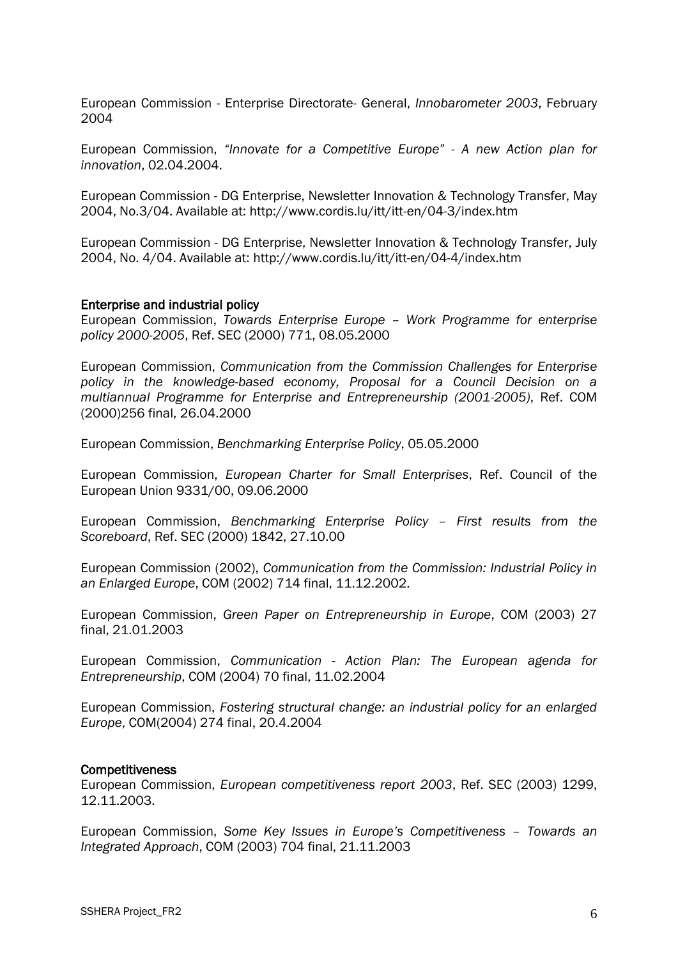European Commission - Enterprise Directorate- General, *Innobarometer 2003*, February 2004

European Commission, *"Innovate for a Competitive Europe" - A new Action plan for innovation*, 02.04.2004.

European Commission - DG Enterprise, Newsletter Innovation & Technology Transfer, May 2004, No.3/04. Available at: http://www.cordis.lu/itt/itt-en/04-3/index.htm

European Commission - DG Enterprise, Newsletter Innovation & Technology Transfer, July 2004, No. 4/04. Available at: http://www.cordis.lu/itt/itt-en/04-4/index.htm

#### Enterprise and industrial policy

European Commission, *Towards Enterprise Europe – Work Programme for enterprise policy 2000-2005*, Ref. SEC (2000) 771, 08.05.2000

European Commission, *Communication from the Commission Challenges for Enterprise policy in the knowledge-based economy, Proposal for a Council Decision on a multiannual Programme for Enterprise and Entrepreneurship (2001-2005)*, Ref. COM (2000)256 final, 26.04.2000

European Commission, *Benchmarking Enterprise Policy*, 05.05.2000

European Commission, *European Charter for Small Enterprises*, Ref. Council of the European Union 9331/00, 09.06.2000

European Commission, *Benchmarking Enterprise Policy – First results from the Scoreboard*, Ref. SEC (2000) 1842, 27.10.00

European Commission (2002), *Communication from the Commission: Industrial Policy in an Enlarged Europe*, COM (2002) 714 final, 11.12.2002.

European Commission, *Green Paper on Entrepreneurship in Europe*, COM (2003) 27 final, 21.01.2003

European Commission, *Communication - Action Plan: The European agenda for Entrepreneurship*, COM (2004) 70 final, 11.02.2004

European Commission, *Fostering structural change: an industrial policy for an enlarged Europe*, COM(2004) 274 final, 20.4.2004

#### **Competitiveness**

European Commission, *European competitiveness report 2003*, Ref. SEC (2003) 1299, 12.11.2003.

European Commission, *Some Key Issues in Europe"s Competitiveness – Towards an Integrated Approach*, COM (2003) 704 final, 21.11.2003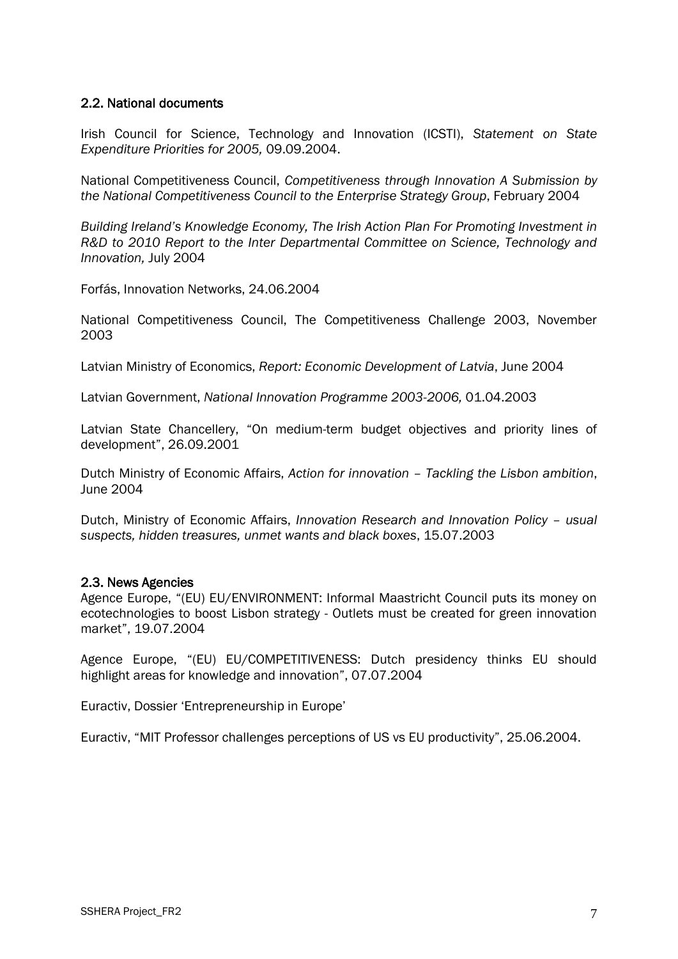### <span id="page-7-0"></span>2.2. National documents

Irish Council for Science, Technology and Innovation (ICSTI), *Statement on State Expenditure Priorities for 2005,* 09.09.2004.

National Competitiveness Council, *Competitiveness through Innovation A Submission by the National Competitiveness Council to the Enterprise Strategy Group*, February 2004

*Building Ireland"s Knowledge Economy, The Irish Action Plan For Promoting Investment in R&D to 2010 Report to the Inter Departmental Committee on Science, Technology and Innovation,* July 2004

Forfás, Innovation Networks, 24.06.2004

National Competitiveness Council, The Competitiveness Challenge 2003, November 2003

Latvian Ministry of Economics, *Report: Economic Development of Latvia*, June 2004

Latvian Government, *National Innovation Programme 2003-2006,* 01.04.2003

Latvian State Chancellery, "On medium-term budget objectives and priority lines of development", 26.09.2001

Dutch Ministry of Economic Affairs, *Action for innovation – Tackling the Lisbon ambition*, June 2004

Dutch, Ministry of Economic Affairs, *Innovation Research and Innovation Policy – usual suspects, hidden treasures, unmet wants and black boxes*, 15.07.2003

#### <span id="page-7-1"></span>2.3. News Agencies

Agence Europe, "(EU) EU/ENVIRONMENT: Informal Maastricht Council puts its money on ecotechnologies to boost Lisbon strategy - Outlets must be created for green innovation market", 19.07.2004

Agence Europe, "(EU) EU/COMPETITIVENESS: Dutch presidency thinks EU should highlight areas for knowledge and innovation", 07.07.2004

Euractiv, Dossier "Entrepreneurship in Europe"

Euractiv, "MIT Professor challenges perceptions of US vs EU productivity", 25.06.2004.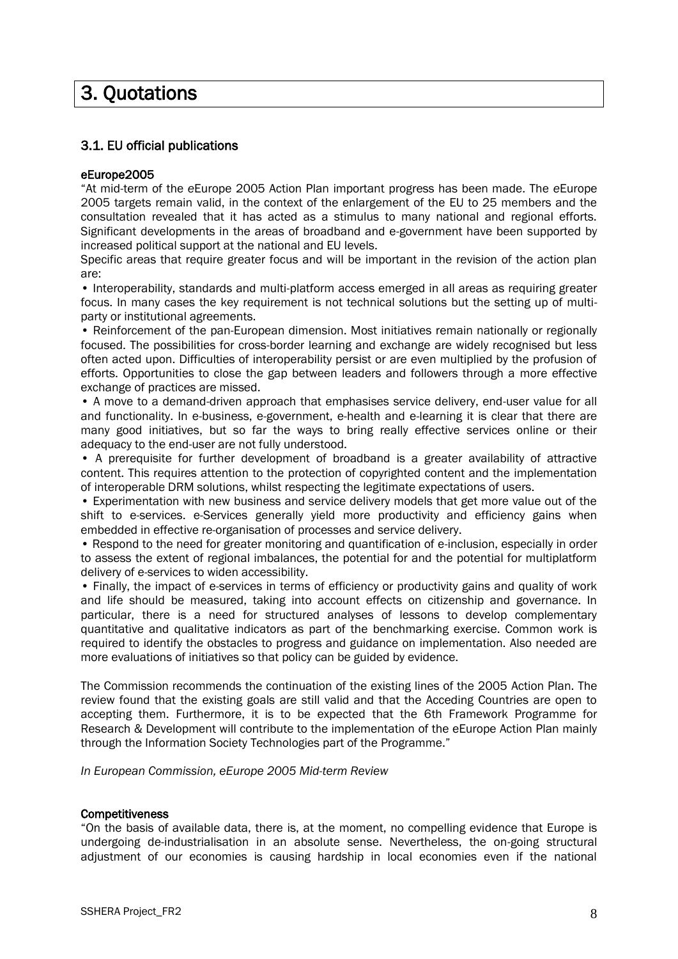# <span id="page-8-0"></span>3. Quotations

## <span id="page-8-1"></span>3.1. EU official publications

#### eEurope2005

"At mid-term of the *e*Europe 2005 Action Plan important progress has been made. The *e*Europe 2005 targets remain valid, in the context of the enlargement of the EU to 25 members and the consultation revealed that it has acted as a stimulus to many national and regional efforts. Significant developments in the areas of broadband and e-government have been supported by increased political support at the national and EU levels.

Specific areas that require greater focus and will be important in the revision of the action plan are:

• Interoperability, standards and multi-platform access emerged in all areas as requiring greater focus. In many cases the key requirement is not technical solutions but the setting up of multiparty or institutional agreements.

• Reinforcement of the pan-European dimension. Most initiatives remain nationally or regionally focused. The possibilities for cross-border learning and exchange are widely recognised but less often acted upon. Difficulties of interoperability persist or are even multiplied by the profusion of efforts. Opportunities to close the gap between leaders and followers through a more effective exchange of practices are missed.

• A move to a demand-driven approach that emphasises service delivery, end-user value for all and functionality. In e-business, e-government, e-health and e-learning it is clear that there are many good initiatives, but so far the ways to bring really effective services online or their adequacy to the end-user are not fully understood.

• A prerequisite for further development of broadband is a greater availability of attractive content. This requires attention to the protection of copyrighted content and the implementation of interoperable DRM solutions, whilst respecting the legitimate expectations of users.

• Experimentation with new business and service delivery models that get more value out of the shift to e-services. e-Services generally yield more productivity and efficiency gains when embedded in effective re-organisation of processes and service delivery.

• Respond to the need for greater monitoring and quantification of e-inclusion, especially in order to assess the extent of regional imbalances, the potential for and the potential for multiplatform delivery of e-services to widen accessibility.

• Finally, the impact of e-services in terms of efficiency or productivity gains and quality of work and life should be measured, taking into account effects on citizenship and governance. In particular, there is a need for structured analyses of lessons to develop complementary quantitative and qualitative indicators as part of the benchmarking exercise. Common work is required to identify the obstacles to progress and guidance on implementation. Also needed are more evaluations of initiatives so that policy can be guided by evidence.

The Commission recommends the continuation of the existing lines of the 2005 Action Plan. The review found that the existing goals are still valid and that the Acceding Countries are open to accepting them. Furthermore, it is to be expected that the 6th Framework Programme for Research & Development will contribute to the implementation of the eEurope Action Plan mainly through the Information Society Technologies part of the Programme."

*In European Commission, eEurope 2005 Mid-term Review*

#### **Competitiveness**

"On the basis of available data, there is, at the moment, no compelling evidence that Europe is undergoing de-industrialisation in an absolute sense. Nevertheless, the on-going structural adjustment of our economies is causing hardship in local economies even if the national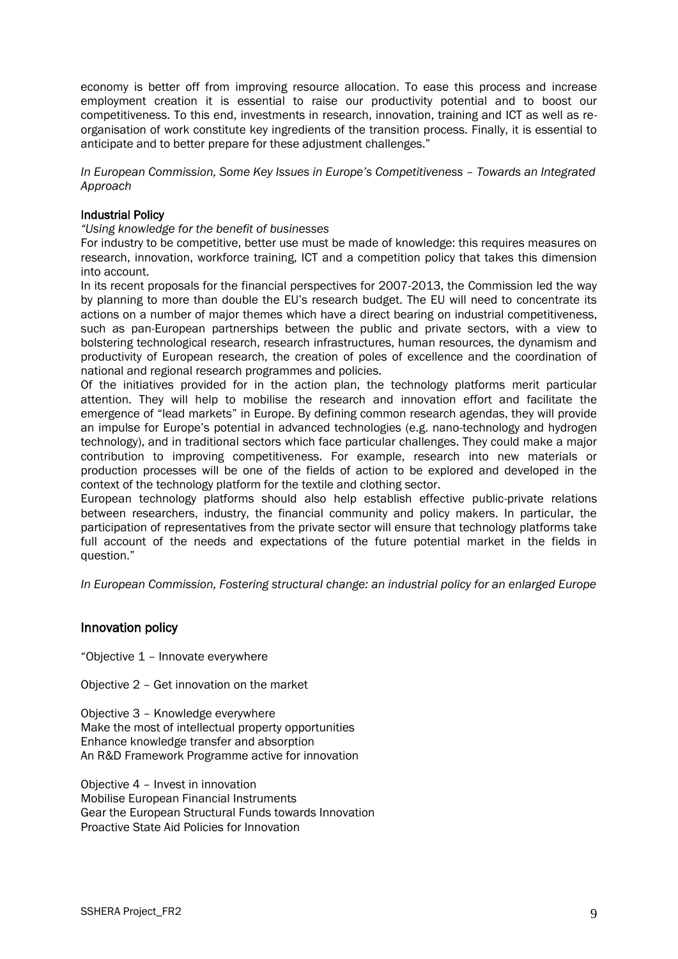economy is better off from improving resource allocation. To ease this process and increase employment creation it is essential to raise our productivity potential and to boost our competitiveness. To this end, investments in research, innovation, training and ICT as well as reorganisation of work constitute key ingredients of the transition process. Finally, it is essential to anticipate and to better prepare for these adjustment challenges."

*In European Commission, Some Key Issues in Europe"s Competitiveness – Towards an Integrated Approach*

#### Industrial Policy

*"Using knowledge for the benefit of businesses*

For industry to be competitive, better use must be made of knowledge: this requires measures on research, innovation, workforce training, ICT and a competition policy that takes this dimension into account.

In its recent proposals for the financial perspectives for 2007-2013, the Commission led the way by planning to more than double the EU"s research budget. The EU will need to concentrate its actions on a number of major themes which have a direct bearing on industrial competitiveness, such as pan-European partnerships between the public and private sectors, with a view to bolstering technological research, research infrastructures, human resources, the dynamism and productivity of European research, the creation of poles of excellence and the coordination of national and regional research programmes and policies.

Of the initiatives provided for in the action plan, the technology platforms merit particular attention. They will help to mobilise the research and innovation effort and facilitate the emergence of "lead markets" in Europe. By defining common research agendas, they will provide an impulse for Europe"s potential in advanced technologies (e.g. nano-technology and hydrogen technology), and in traditional sectors which face particular challenges. They could make a major contribution to improving competitiveness. For example, research into new materials or production processes will be one of the fields of action to be explored and developed in the context of the technology platform for the textile and clothing sector.

European technology platforms should also help establish effective public-private relations between researchers, industry, the financial community and policy makers. In particular, the participation of representatives from the private sector will ensure that technology platforms take full account of the needs and expectations of the future potential market in the fields in question."

*In European Commission, Fostering structural change: an industrial policy for an enlarged Europe*

#### Innovation policy

"Objective 1 – Innovate everywhere

Objective 2 – Get innovation on the market

Objective 3 – Knowledge everywhere

Make the most of intellectual property opportunities Enhance knowledge transfer and absorption An R&D Framework Programme active for innovation

Objective 4 – Invest in innovation Mobilise European Financial Instruments Gear the European Structural Funds towards Innovation Proactive State Aid Policies for Innovation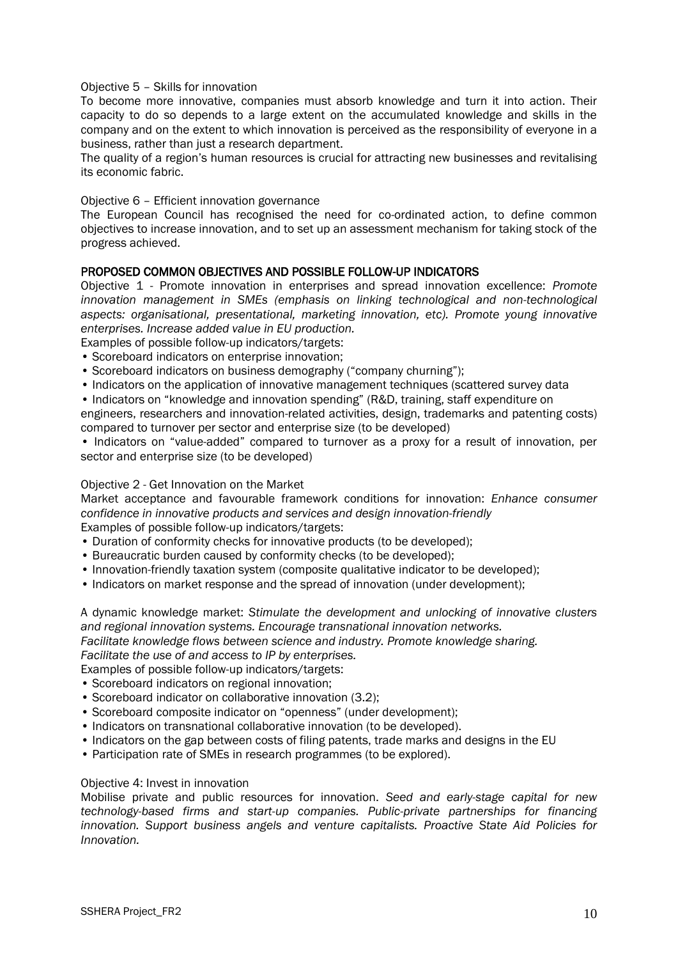#### Objective 5 – Skills for innovation

To become more innovative, companies must absorb knowledge and turn it into action. Their capacity to do so depends to a large extent on the accumulated knowledge and skills in the company and on the extent to which innovation is perceived as the responsibility of everyone in a business, rather than just a research department.

The quality of a region"s human resources is crucial for attracting new businesses and revitalising its economic fabric.

#### Objective 6 – Efficient innovation governance

The European Council has recognised the need for co-ordinated action, to define common objectives to increase innovation, and to set up an assessment mechanism for taking stock of the progress achieved.

#### PROPOSED COMMON OBJECTIVES AND POSSIBLE FOLLOW-UP INDICATORS

Objective 1 - Promote innovation in enterprises and spread innovation excellence: *Promote innovation management in SMEs (emphasis on linking technological and non-technological aspects: organisational, presentational, marketing innovation, etc). Promote young innovative enterprises. Increase added value in EU production.*

Examples of possible follow-up indicators/targets:

- Scoreboard indicators on enterprise innovation;
- Scoreboard indicators on business demography ("company churning");
- Indicators on the application of innovative management techniques (scattered survey data
- Indicators on "knowledge and innovation spending" (R&D, training, staff expenditure on

engineers, researchers and innovation-related activities, design, trademarks and patenting costs) compared to turnover per sector and enterprise size (to be developed)

• Indicators on "value-added" compared to turnover as a proxy for a result of innovation, per sector and enterprise size (to be developed)

#### Objective 2 - Get Innovation on the Market

Market acceptance and favourable framework conditions for innovation: *Enhance consumer confidence in innovative products and services and design innovation-friendly* Examples of possible follow-up indicators/targets:

- Duration of conformity checks for innovative products (to be developed);
- Bureaucratic burden caused by conformity checks (to be developed);
- Innovation-friendly taxation system (composite qualitative indicator to be developed);
- Indicators on market response and the spread of innovation (under development);

A dynamic knowledge market: *Stimulate the development and unlocking of innovative clusters and regional innovation systems. Encourage transnational innovation networks. Facilitate knowledge flows between science and industry. Promote knowledge sharing.*

*Facilitate the use of and access to IP by enterprises.* Examples of possible follow-up indicators/targets:

- Scoreboard indicators on regional innovation;
- Scoreboard indicator on collaborative innovation (3.2);
- Scoreboard composite indicator on "openness" (under development);
- Indicators on transnational collaborative innovation (to be developed).
- Indicators on the gap between costs of filing patents, trade marks and designs in the EU
- Participation rate of SMEs in research programmes (to be explored).

#### Objective 4: Invest in innovation

Mobilise private and public resources for innovation. *Seed and early-stage capital for new technology-based firms and start-up companies. Public-private partnerships for financing innovation. Support business angels and venture capitalists. Proactive State Aid Policies for Innovation.*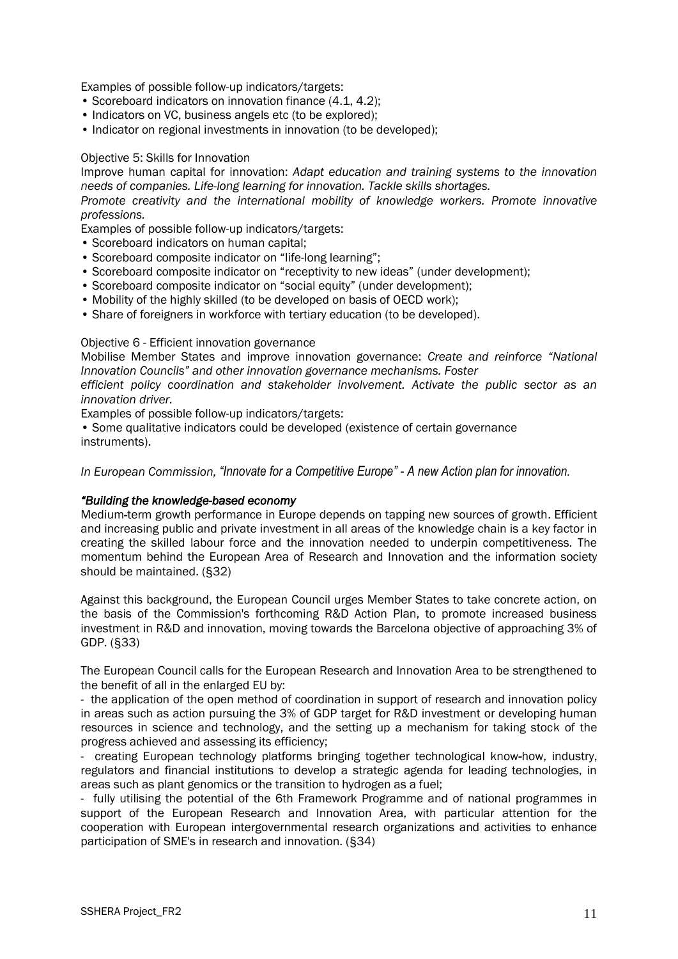Examples of possible follow-up indicators/targets:

- Scoreboard indicators on innovation finance (4.1, 4.2);
- Indicators on VC, business angels etc (to be explored);
- Indicator on regional investments in innovation (to be developed);

#### Objective 5: Skills for Innovation

Improve human capital for innovation: *Adapt education and training systems to the innovation needs of companies. Life-long learning for innovation. Tackle skills shortages.*

*Promote creativity and the international mobility of knowledge workers. Promote innovative professions.*

Examples of possible follow-up indicators/targets:

- Scoreboard indicators on human capital;
- Scoreboard composite indicator on "life-long learning";
- Scoreboard composite indicator on "receptivity to new ideas" (under development);
- Scoreboard composite indicator on "social equity" (under development);
- Mobility of the highly skilled (to be developed on basis of OECD work);
- Share of foreigners in workforce with tertiary education (to be developed).

#### Objective 6 - Efficient innovation governance

Mobilise Member States and improve innovation governance: *Create and reinforce "National Innovation Councils" and other innovation governance mechanisms. Foster*

*efficient policy coordination and stakeholder involvement. Activate the public sector as an innovation driver.*

Examples of possible follow-up indicators/targets:

• Some qualitative indicators could be developed (existence of certain governance instruments).

*In European Commission, "Innovate for a Competitive Europe" - A new Action plan for innovation.*

#### *"Building the knowledge-based economy*

Medium*-*term growth performance in Europe depends on tapping new sources of growth. Efficient and increasing public and private investment in all areas of the knowledge chain is a key factor in creating the skilled labour force and the innovation needed to underpin competitiveness. The momentum behind the European Area of Research and Innovation and the information society should be maintained. (§32)

Against this background, the European Council urges Member States to take concrete action, on the basis of the Commission's forthcoming R&D Action Plan, to promote increased business investment in R&D and innovation, moving towards the Barcelona objective of approaching 3% of GDP. (§33)

The European Council calls for the European Research and Innovation Area to be strengthened to the benefit of all in the enlarged EU by:

- the application of the open method of coordination in support of research and innovation policy in areas such as action pursuing the 3% of GDP target for R&D investment or developing human resources in science and technology, and the setting up a mechanism for taking stock of the progress achieved and assessing its efficiency;

- creating European technology platforms bringing together technological know*-*how, industry, regulators and financial institutions to develop a strategic agenda for leading technologies, in areas such as plant genomics or the transition to hydrogen as a fuel;

- fully utilising the potential of the 6th Framework Programme and of national programmes in support of the European Research and Innovation Area, with particular attention for the cooperation with European intergovernmental research organizations and activities to enhance participation of SME's in research and innovation. (§34)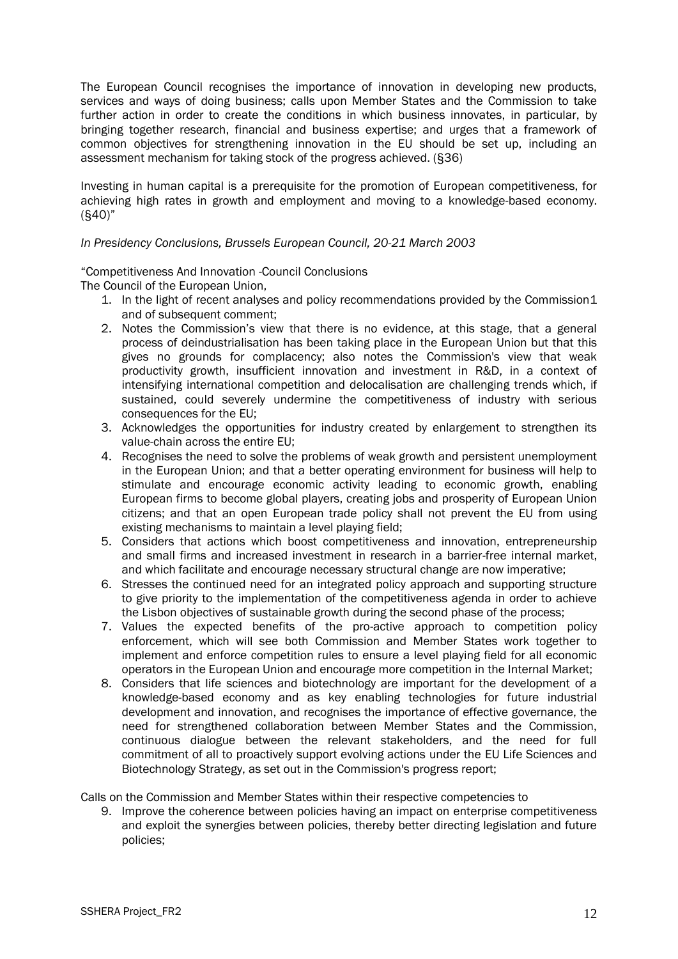The European Council recognises the importance of innovation in developing new products, services and ways of doing business; calls upon Member States and the Commission to take further action in order to create the conditions in which business innovates, in particular, by bringing together research, financial and business expertise; and urges that a framework of common objectives for strengthening innovation in the EU should be set up, including an assessment mechanism for taking stock of the progress achieved. (§36)

Investing in human capital is a prerequisite for the promotion of European competitiveness, for achieving high rates in growth and employment and moving to a knowledge-based economy. (§40)"

#### *In Presidency Conclusions, Brussels European Council, 20-21 March 2003*

"Competitiveness And Innovation -Council Conclusions

The Council of the European Union,

- 1. In the light of recent analyses and policy recommendations provided by the Commission1 and of subsequent comment;
- 2. Notes the Commission"s view that there is no evidence, at this stage, that a general process of deindustrialisation has been taking place in the European Union but that this gives no grounds for complacency; also notes the Commission's view that weak productivity growth, insufficient innovation and investment in R&D, in a context of intensifying international competition and delocalisation are challenging trends which, if sustained, could severely undermine the competitiveness of industry with serious consequences for the EU;
- 3. Acknowledges the opportunities for industry created by enlargement to strengthen its value-chain across the entire EU;
- 4. Recognises the need to solve the problems of weak growth and persistent unemployment in the European Union; and that a better operating environment for business will help to stimulate and encourage economic activity leading to economic growth, enabling European firms to become global players, creating jobs and prosperity of European Union citizens; and that an open European trade policy shall not prevent the EU from using existing mechanisms to maintain a level playing field;
- 5. Considers that actions which boost competitiveness and innovation, entrepreneurship and small firms and increased investment in research in a barrier-free internal market, and which facilitate and encourage necessary structural change are now imperative;
- 6. Stresses the continued need for an integrated policy approach and supporting structure to give priority to the implementation of the competitiveness agenda in order to achieve the Lisbon objectives of sustainable growth during the second phase of the process;
- 7. Values the expected benefits of the pro-active approach to competition policy enforcement, which will see both Commission and Member States work together to implement and enforce competition rules to ensure a level playing field for all economic operators in the European Union and encourage more competition in the Internal Market;
- 8. Considers that life sciences and biotechnology are important for the development of a knowledge-based economy and as key enabling technologies for future industrial development and innovation, and recognises the importance of effective governance, the need for strengthened collaboration between Member States and the Commission, continuous dialogue between the relevant stakeholders, and the need for full commitment of all to proactively support evolving actions under the EU Life Sciences and Biotechnology Strategy, as set out in the Commission's progress report;

Calls on the Commission and Member States within their respective competencies to

9. Improve the coherence between policies having an impact on enterprise competitiveness and exploit the synergies between policies, thereby better directing legislation and future policies;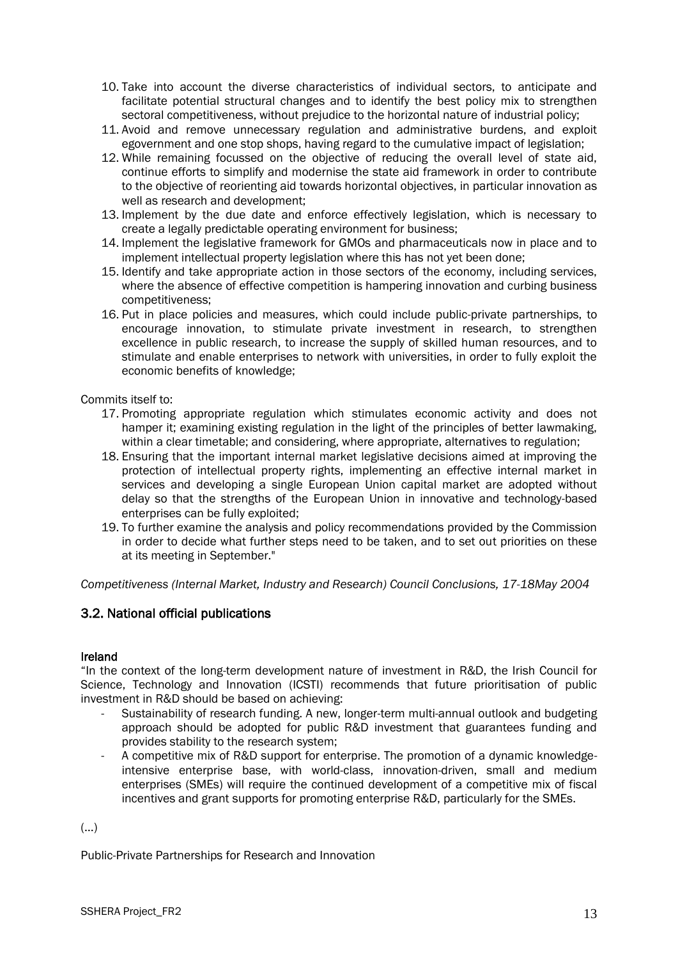- 10. Take into account the diverse characteristics of individual sectors, to anticipate and facilitate potential structural changes and to identify the best policy mix to strengthen sectoral competitiveness, without prejudice to the horizontal nature of industrial policy;
- 11. Avoid and remove unnecessary regulation and administrative burdens, and exploit egovernment and one stop shops, having regard to the cumulative impact of legislation;
- 12. While remaining focussed on the objective of reducing the overall level of state aid, continue efforts to simplify and modernise the state aid framework in order to contribute to the objective of reorienting aid towards horizontal objectives, in particular innovation as well as research and development;
- 13. Implement by the due date and enforce effectively legislation, which is necessary to create a legally predictable operating environment for business;
- 14. Implement the legislative framework for GMOs and pharmaceuticals now in place and to implement intellectual property legislation where this has not yet been done;
- 15. Identify and take appropriate action in those sectors of the economy, including services, where the absence of effective competition is hampering innovation and curbing business competitiveness;
- 16. Put in place policies and measures, which could include public-private partnerships, to encourage innovation, to stimulate private investment in research, to strengthen excellence in public research, to increase the supply of skilled human resources, and to stimulate and enable enterprises to network with universities, in order to fully exploit the economic benefits of knowledge;

Commits itself to:

- 17. Promoting appropriate regulation which stimulates economic activity and does not hamper it; examining existing regulation in the light of the principles of better lawmaking, within a clear timetable; and considering, where appropriate, alternatives to regulation;
- 18. Ensuring that the important internal market legislative decisions aimed at improving the protection of intellectual property rights, implementing an effective internal market in services and developing a single European Union capital market are adopted without delay so that the strengths of the European Union in innovative and technology-based enterprises can be fully exploited;
- 19. To further examine the analysis and policy recommendations provided by the Commission in order to decide what further steps need to be taken, and to set out priorities on these at its meeting in September."

*Competitiveness (Internal Market, Industry and Research) Council Conclusions, 17-18May 2004*

### <span id="page-13-0"></span>3.2. National official publications

#### Ireland

"In the context of the long-term development nature of investment in R&D, the Irish Council for Science, Technology and Innovation (ICSTI) recommends that future prioritisation of public investment in R&D should be based on achieving:

- Sustainability of research funding. A new, longer-term multi-annual outlook and budgeting approach should be adopted for public R&D investment that guarantees funding and provides stability to the research system;
- A competitive mix of R&D support for enterprise. The promotion of a dynamic knowledgeintensive enterprise base, with world-class, innovation-driven, small and medium enterprises (SMEs) will require the continued development of a competitive mix of fiscal incentives and grant supports for promoting enterprise R&D, particularly for the SMEs.

(…)

Public-Private Partnerships for Research and Innovation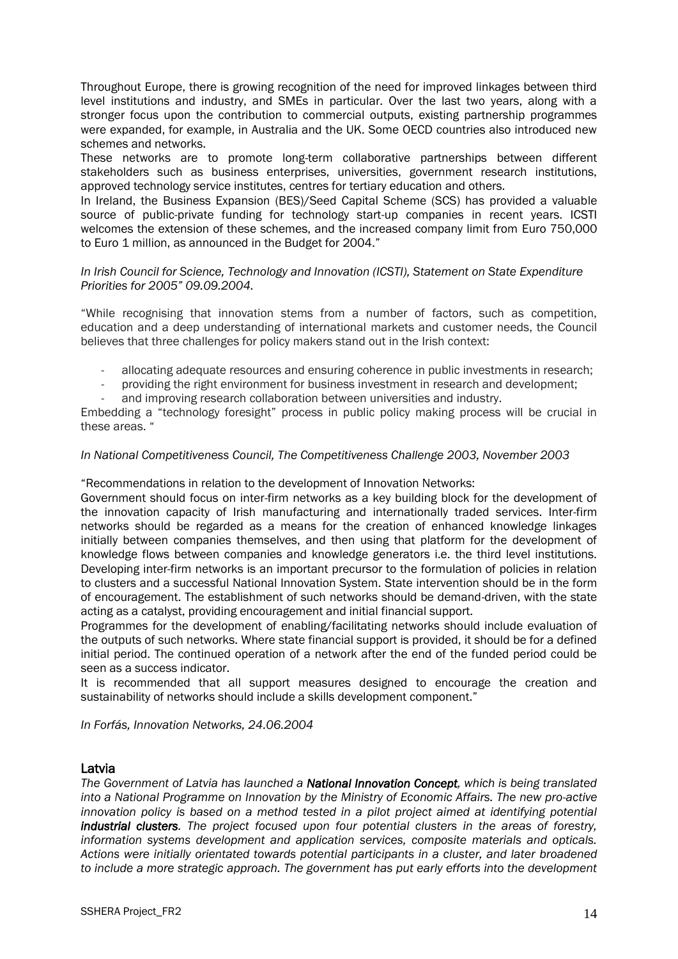Throughout Europe, there is growing recognition of the need for improved linkages between third level institutions and industry, and SMEs in particular. Over the last two years, along with a stronger focus upon the contribution to commercial outputs, existing partnership programmes were expanded, for example, in Australia and the UK. Some OECD countries also introduced new schemes and networks.

These networks are to promote long-term collaborative partnerships between different stakeholders such as business enterprises, universities, government research institutions, approved technology service institutes, centres for tertiary education and others.

In Ireland, the Business Expansion (BES)/Seed Capital Scheme (SCS) has provided a valuable source of public-private funding for technology start-up companies in recent years. ICSTI welcomes the extension of these schemes, and the increased company limit from Euro 750,000 to Euro 1 million, as announced in the Budget for 2004."

#### *In Irish Council for Science, Technology and Innovation (ICSTI), Statement on State Expenditure Priorities for 2005" 09.09.2004.*

"While recognising that innovation stems from a number of factors, such as competition, education and a deep understanding of international markets and customer needs, the Council believes that three challenges for policy makers stand out in the Irish context:

- allocating adequate resources and ensuring coherence in public investments in research;
- providing the right environment for business investment in research and development;
- and improving research collaboration between universities and industry.

Embedding a "technology foresight" process in public policy making process will be crucial in these areas. "

#### *In National Competitiveness Council, The Competitiveness Challenge 2003, November 2003*

"Recommendations in relation to the development of Innovation Networks:

Government should focus on inter-firm networks as a key building block for the development of the innovation capacity of Irish manufacturing and internationally traded services. Inter-firm networks should be regarded as a means for the creation of enhanced knowledge linkages initially between companies themselves, and then using that platform for the development of knowledge flows between companies and knowledge generators i.e. the third level institutions. Developing inter-firm networks is an important precursor to the formulation of policies in relation to clusters and a successful National Innovation System. State intervention should be in the form of encouragement. The establishment of such networks should be demand-driven, with the state acting as a catalyst, providing encouragement and initial financial support.

Programmes for the development of enabling/facilitating networks should include evaluation of the outputs of such networks. Where state financial support is provided, it should be for a defined initial period. The continued operation of a network after the end of the funded period could be seen as a success indicator.

It is recommended that all support measures designed to encourage the creation and sustainability of networks should include a skills development component."

*In Forfás, Innovation Networks, 24.06.2004*

#### Latvia

*The Government of Latvia has launched a National Innovation Concept, which is being translated into a National Programme on Innovation by the Ministry of Economic Affairs. The new pro-active innovation policy is based on a method tested in a pilot project aimed at identifying potential industrial clusters. The project focused upon four potential clusters in the areas of forestry, information systems development and application services, composite materials and opticals. Actions were initially orientated towards potential participants in a cluster, and later broadened to include a more strategic approach. The government has put early efforts into the development*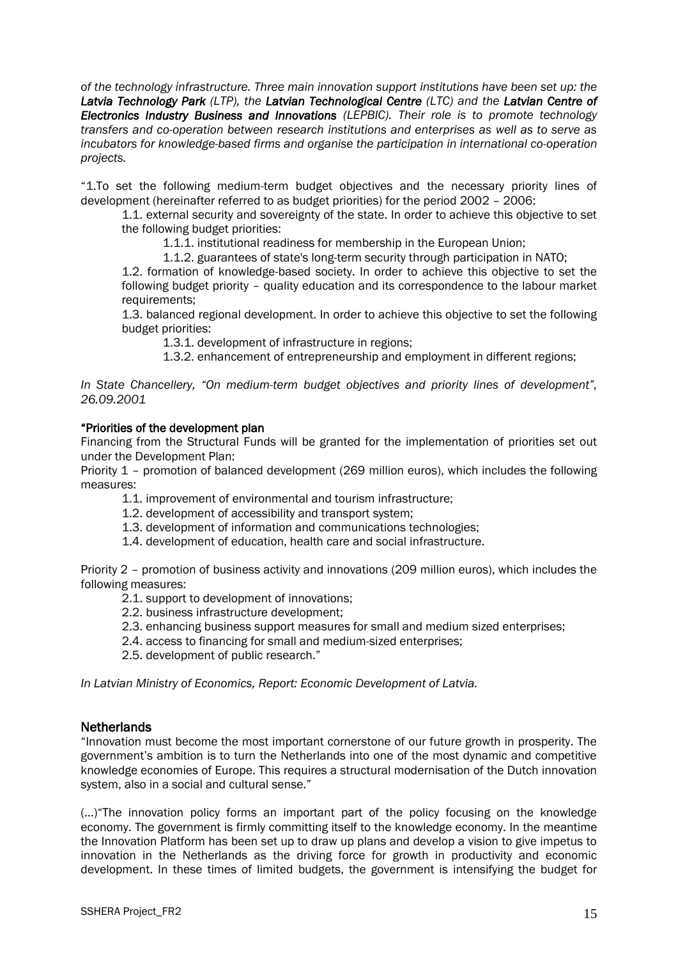*of the technology infrastructure. Three main innovation support institutions have been set up: the Latvia Technology Park (LTP), the Latvian Technological Centre (LTC) and the Latvian Centre of Electronics Industry Business and Innovations (LEPBIC). Their role is to promote technology transfers and co-operation between research institutions and enterprises as well as to serve as incubators for knowledge-based firms and organise the participation in international co-operation projects.* 

"1.To set the following medium-term budget objectives and the necessary priority lines of development (hereinafter referred to as budget priorities) for the period 2002 – 2006:

1.1. external security and sovereignty of the state. In order to achieve this objective to set the following budget priorities:

1.1.1. institutional readiness for membership in the European Union;

1.1.2. guarantees of state's long-term security through participation in NATO;

1.2. formation of knowledge-based society. In order to achieve this objective to set the following budget priority – quality education and its correspondence to the labour market requirements;

1.3. balanced regional development. In order to achieve this objective to set the following budget priorities:

1.3.1. development of infrastructure in regions;

1.3.2. enhancement of entrepreneurship and employment in different regions;

*In State Chancellery, "On medium-term budget objectives and priority lines of development", 26.09.2001*

#### "Priorities of the development plan

Financing from the Structural Funds will be granted for the implementation of priorities set out under the Development Plan:

Priority 1 – promotion of balanced development (269 million euros), which includes the following measures:

1.1. improvement of environmental and tourism infrastructure;

- 1.2. development of accessibility and transport system;
- 1.3. development of information and communications technologies;
- 1.4. development of education, health care and social infrastructure.

Priority 2 – promotion of business activity and innovations (209 million euros), which includes the following measures:

- 2.1. support to development of innovations;
- 2.2. business infrastructure development;
- 2.3. enhancing business support measures for small and medium sized enterprises;
- 2.4. access to financing for small and medium-sized enterprises;
- 2.5. development of public research."

*In Latvian Ministry of Economics, Report: Economic Development of Latvia.*

#### **Netherlands**

"Innovation must become the most important cornerstone of our future growth in prosperity. The government"s ambition is to turn the Netherlands into one of the most dynamic and competitive knowledge economies of Europe. This requires a structural modernisation of the Dutch innovation system, also in a social and cultural sense."

(…)"The innovation policy forms an important part of the policy focusing on the knowledge economy. The government is firmly committing itself to the knowledge economy. In the meantime the Innovation Platform has been set up to draw up plans and develop a vision to give impetus to innovation in the Netherlands as the driving force for growth in productivity and economic development. In these times of limited budgets, the government is intensifying the budget for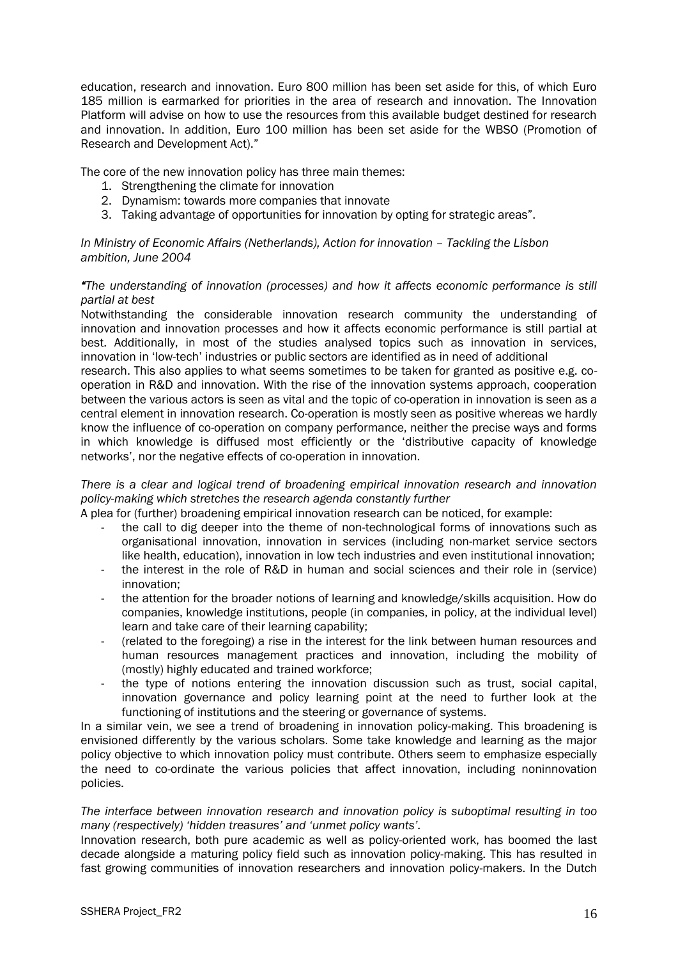education, research and innovation. Euro 800 million has been set aside for this, of which Euro 185 million is earmarked for priorities in the area of research and innovation. The Innovation Platform will advise on how to use the resources from this available budget destined for research and innovation. In addition, Euro 100 million has been set aside for the WBSO (Promotion of Research and Development Act)."

The core of the new innovation policy has three main themes:

- 1. Strengthening the climate for innovation
- 2. Dynamism: towards more companies that innovate
- 3. Taking advantage of opportunities for innovation by opting for strategic areas".

*In Ministry of Economic Affairs (Netherlands), Action for innovation - Tackling the Lisbon ambition, June 2004*

#### *"The understanding of innovation (processes) and how it affects economic performance is still partial at best*

Notwithstanding the considerable innovation research community the understanding of innovation and innovation processes and how it affects economic performance is still partial at best. Additionally, in most of the studies analysed topics such as innovation in services, innovation in "low-tech" industries or public sectors are identified as in need of additional

research. This also applies to what seems sometimes to be taken for granted as positive e.g. cooperation in R&D and innovation. With the rise of the innovation systems approach, cooperation between the various actors is seen as vital and the topic of co-operation in innovation is seen as a central element in innovation research. Co-operation is mostly seen as positive whereas we hardly know the influence of co-operation on company performance, neither the precise ways and forms in which knowledge is diffused most efficiently or the "distributive capacity of knowledge networks", nor the negative effects of co-operation in innovation.

*There is a clear and logical trend of broadening empirical innovation research and innovation policy-making which stretches the research agenda constantly further*

A plea for (further) broadening empirical innovation research can be noticed, for example:

- the call to dig deeper into the theme of non-technological forms of innovations such as organisational innovation, innovation in services (including non-market service sectors like health, education), innovation in low tech industries and even institutional innovation;
- the interest in the role of R&D in human and social sciences and their role in (service) innovation;
- the attention for the broader notions of learning and knowledge/skills acquisition. How do companies, knowledge institutions, people (in companies, in policy, at the individual level) learn and take care of their learning capability;
- (related to the foregoing) a rise in the interest for the link between human resources and human resources management practices and innovation, including the mobility of (mostly) highly educated and trained workforce;
- the type of notions entering the innovation discussion such as trust, social capital, innovation governance and policy learning point at the need to further look at the functioning of institutions and the steering or governance of systems.

In a similar vein, we see a trend of broadening in innovation policy-making. This broadening is envisioned differently by the various scholars. Some take knowledge and learning as the major policy objective to which innovation policy must contribute. Others seem to emphasize especially the need to co-ordinate the various policies that affect innovation, including noninnovation policies.

#### *The interface between innovation research and innovation policy is suboptimal resulting in too many (respectively) "hidden treasures" and "unmet policy wants".*

Innovation research, both pure academic as well as policy-oriented work, has boomed the last decade alongside a maturing policy field such as innovation policy-making. This has resulted in fast growing communities of innovation researchers and innovation policy-makers. In the Dutch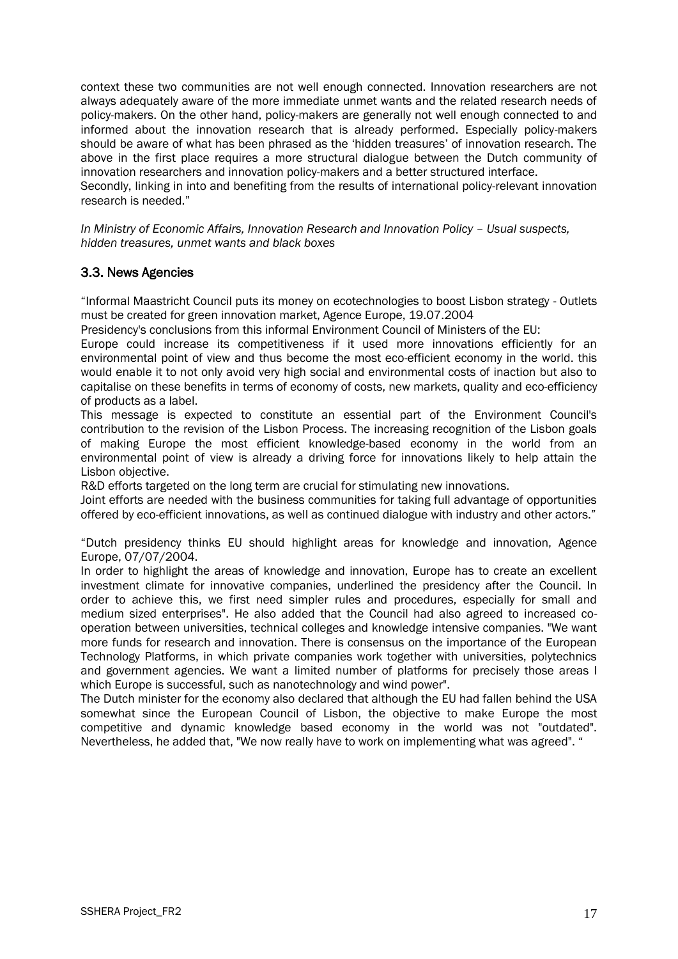context these two communities are not well enough connected. Innovation researchers are not always adequately aware of the more immediate unmet wants and the related research needs of policy-makers. On the other hand, policy-makers are generally not well enough connected to and informed about the innovation research that is already performed. Especially policy-makers should be aware of what has been phrased as the 'hidden treasures' of innovation research. The above in the first place requires a more structural dialogue between the Dutch community of innovation researchers and innovation policy-makers and a better structured interface.

Secondly, linking in into and benefiting from the results of international policy-relevant innovation research is needed."

*In Ministry of Economic Affairs, Innovation Research and Innovation Policy - Usual suspects, hidden treasures, unmet wants and black boxes*

### <span id="page-17-0"></span>3.3. News Agencies

"Informal Maastricht Council puts its money on ecotechnologies to boost Lisbon strategy - Outlets must be created for green innovation market, Agence Europe, 19.07.2004

Presidency's conclusions from this informal Environment Council of Ministers of the EU:

Europe could increase its competitiveness if it used more innovations efficiently for an environmental point of view and thus become the most eco-efficient economy in the world. this would enable it to not only avoid very high social and environmental costs of inaction but also to capitalise on these benefits in terms of economy of costs, new markets, quality and eco-efficiency of products as a label.

This message is expected to constitute an essential part of the Environment Council's contribution to the revision of the Lisbon Process. The increasing recognition of the Lisbon goals of making Europe the most efficient knowledge-based economy in the world from an environmental point of view is already a driving force for innovations likely to help attain the Lisbon objective.

R&D efforts targeted on the long term are crucial for stimulating new innovations.

Joint efforts are needed with the business communities for taking full advantage of opportunities offered by eco-efficient innovations, as well as continued dialogue with industry and other actors."

"Dutch presidency thinks EU should highlight areas for knowledge and innovation, Agence Europe, 07/07/2004.

In order to highlight the areas of knowledge and innovation, Europe has to create an excellent investment climate for innovative companies, underlined the presidency after the Council. In order to achieve this, we first need simpler rules and procedures, especially for small and medium sized enterprises". He also added that the Council had also agreed to increased cooperation between universities, technical colleges and knowledge intensive companies. "We want more funds for research and innovation. There is consensus on the importance of the European Technology Platforms, in which private companies work together with universities, polytechnics and government agencies. We want a limited number of platforms for precisely those areas I which Europe is successful, such as nanotechnology and wind power".

The Dutch minister for the economy also declared that although the EU had fallen behind the USA somewhat since the European Council of Lisbon, the objective to make Europe the most competitive and dynamic knowledge based economy in the world was not "outdated". Nevertheless, he added that, "We now really have to work on implementing what was agreed". "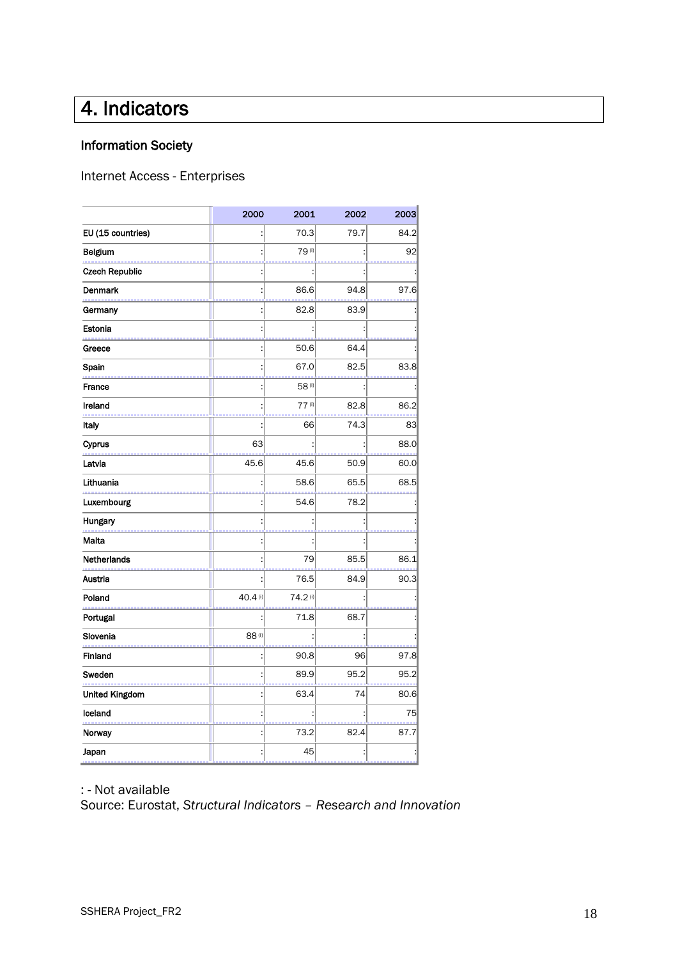# <span id="page-18-0"></span>4. Indicators

## Information Society

Internet Access - Enterprises

| 2000    | 2001    | 2002 | 2003 |
|---------|---------|------|------|
|         | 70.3    | 79.7 | 84.2 |
|         | 79(i)   |      | 92   |
|         |         |      |      |
|         | 86.6    | 94.8 | 97.6 |
|         | 82.8    | 83.9 |      |
|         |         |      |      |
|         | 50.6    | 64.4 |      |
|         | 67.0    | 82.5 | 83.8 |
|         | 58(i)   |      |      |
|         | 77(1)   | 82.8 | 86.2 |
|         | 66      | 74.3 | 83   |
| 63      |         |      | 88.0 |
| 45.6    | 45.6    | 50.9 | 60.0 |
|         | 58.6    | 65.5 | 68.5 |
|         | 54.6    | 78.2 |      |
|         |         |      |      |
|         |         |      |      |
|         | 79      | 85.5 | 86.1 |
|         | 76.5    | 84.9 | 90.3 |
| 40.4(i) | 74.2(i) |      |      |
|         | 71.8    | 68.7 |      |
| 88(i)   |         |      |      |
|         | 90.8    | 96   | 97.8 |
|         | 89.9    | 95.2 | 95.2 |
|         | 63.4    | 74   | 80.6 |
|         |         |      | 75   |
|         | 73.2    | 82.4 | 87.7 |
|         | 45      |      |      |
|         |         |      |      |

: - Not available

Source: Eurostat, *Structural Indicators – Research and Innovation*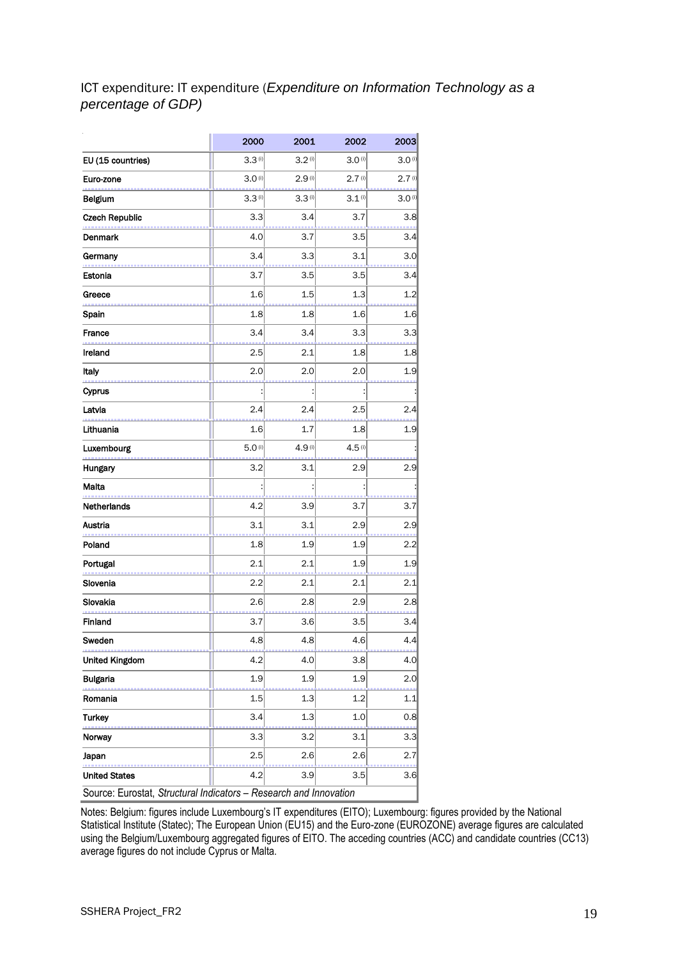## ICT expenditure: IT expenditure (*Expenditure on Information Technology as a percentage of GDP)*

|                                                                   | 2000   | 2001               | 2002               | 2003                 |  |  |  |  |  |  |
|-------------------------------------------------------------------|--------|--------------------|--------------------|----------------------|--|--|--|--|--|--|
| EU (15 countries)                                                 | 3.3(1) | 3.2(0)             | 3.0(1)             | 3.0 <sup>(i)</sup>   |  |  |  |  |  |  |
| Euro-zone                                                         | 3.0(0) | 2.9 <sup>(i)</sup> | 2.7 <sup>(i)</sup> | 2.7(1)               |  |  |  |  |  |  |
| Belgium                                                           | 3.3(1) | 3.3(1)             | 3.1(0)             | $3.0$ <sup>(i)</sup> |  |  |  |  |  |  |
| <b>Czech Republic</b>                                             | 3.3    | 3.4                | 3.7                | 3.8                  |  |  |  |  |  |  |
| <b>Denmark</b>                                                    | 4.0    | 3.7                | 3.5                | 3.4                  |  |  |  |  |  |  |
| Germany                                                           | 3.4    | 3.3                | 3.1                | 3.0                  |  |  |  |  |  |  |
| Estonia                                                           | 3.7    | 3.5                | 3.5                | 3.4                  |  |  |  |  |  |  |
| Greece                                                            | 1.6    | 1.5                | 1.3                | 1.2                  |  |  |  |  |  |  |
| Spain                                                             | 1.8    | 1.8                | 1.6                | 1.6                  |  |  |  |  |  |  |
| France                                                            | 3.4    | 3.4                | 3.3                | 3.3                  |  |  |  |  |  |  |
| Ireland                                                           | 2.5    | 2.1                | 1.8                | 1.8                  |  |  |  |  |  |  |
| Italy                                                             | 2.0    | 2.0                | 2.0                | 1.9                  |  |  |  |  |  |  |
| Cyprus                                                            |        |                    |                    |                      |  |  |  |  |  |  |
| Latvia                                                            | 2.4    | 2.4                | 2.5                | 2.4                  |  |  |  |  |  |  |
| Lithuania                                                         | 1.6    | 1.7                | 1.8                | 1.9                  |  |  |  |  |  |  |
| Luxembourg                                                        | 5.0(1) | 4.9 <sup>(i)</sup> | 4.5(1)             |                      |  |  |  |  |  |  |
| Hungary                                                           | 3.2    | 3.1                | 2.9                | 2.9                  |  |  |  |  |  |  |
| Malta                                                             |        |                    |                    |                      |  |  |  |  |  |  |
| Netherlands                                                       | 4.2    | 3.9                | 3.7                | 3.7                  |  |  |  |  |  |  |
| Austria                                                           | 3.1    | 3.1                | 2.9                | 2.9                  |  |  |  |  |  |  |
| Poland                                                            | 1.8    | 1.9                | 1.9                | $2.2\,$              |  |  |  |  |  |  |
| Portugal                                                          | 2.1    | 2.1                | 1.9                | 1.9                  |  |  |  |  |  |  |
| Slovenia                                                          | 2.2    | 2.1                | 2.1                | 2.1                  |  |  |  |  |  |  |
| Slovakia                                                          | 2.6    | 2.8                | 2.9                | 2.8                  |  |  |  |  |  |  |
| Finland                                                           | 3.7    | 3.6                | 3.5                | 3.4                  |  |  |  |  |  |  |
| Sweden                                                            | 4.8    | 4.8                | 4.6                | 4.4                  |  |  |  |  |  |  |
| <b>United Kingdom</b>                                             | 4.2    | 4.0                | 3.8                | 4.0                  |  |  |  |  |  |  |
| <b>Bulgaria</b>                                                   | 1.9    | 1.9                | 1.9                | 2.0                  |  |  |  |  |  |  |
| Romania                                                           | 1.5    | 1.3                | 1.2                | 1.1                  |  |  |  |  |  |  |
| <b>Turkey</b>                                                     | 3.4    | 1.3                | 1.0                | 0.8                  |  |  |  |  |  |  |
| Norway                                                            | 3.3    | 3.2                | 3.1                | 3.3                  |  |  |  |  |  |  |
| Japan                                                             | 2.5    | 2.6                | 2.6                | 2.7                  |  |  |  |  |  |  |
| <b>United States</b>                                              | 4.2    | 3.9                | 3.5                | 3.6                  |  |  |  |  |  |  |
| Source: Eurostat, Structural Indicators - Research and Innovation |        |                    |                    |                      |  |  |  |  |  |  |

Notes: Belgium: figures include Luxembourg's IT expenditures (EITO); Luxembourg: figures provided by the National Statistical Institute (Statec); The European Union (EU15) and the Euro-zone (EUROZONE) average figures are calculated using the Belgium/Luxembourg aggregated figures of EITO. The acceding countries (ACC) and candidate countries (CC13) average figures do not include Cyprus or Malta.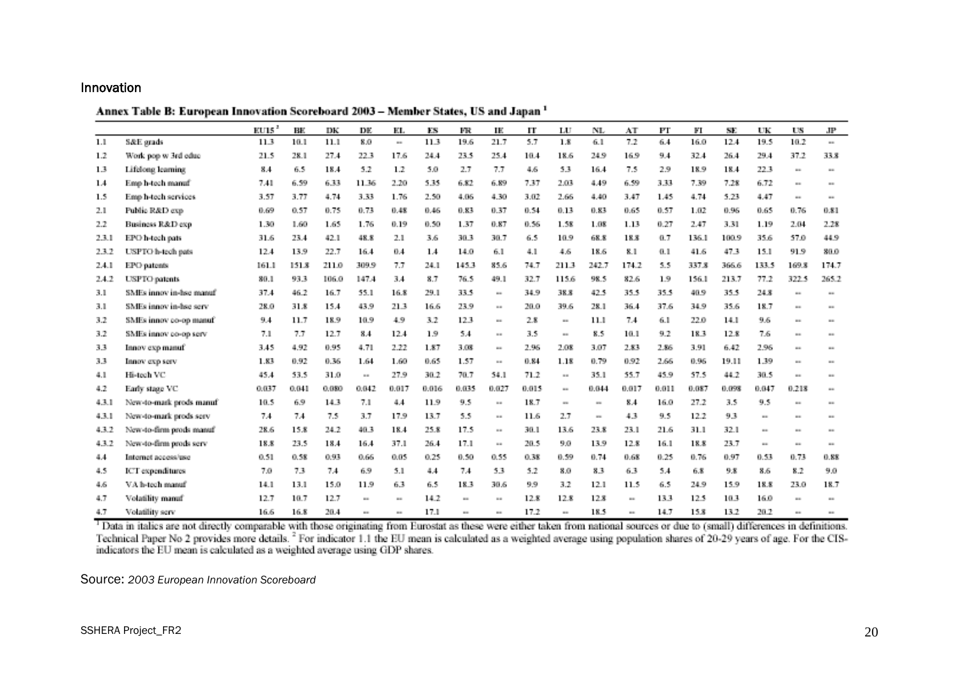### Innovation

Annex Table B: European Innovation Scoreboard 2003 - Member States, US and Japan<sup>1</sup>

|       |                         | EUI5 <sup>2</sup> | BE.   | DК    | DE.          | EL.   | ES    | FR     | IE           | П     | LU             | NL           | AT    | Fľ    | FІ    | SE.   | UК           | US             | JP             |
|-------|-------------------------|-------------------|-------|-------|--------------|-------|-------|--------|--------------|-------|----------------|--------------|-------|-------|-------|-------|--------------|----------------|----------------|
| 1.1   | S&E grads               | 11.3              | 10.1  | 11.1  | 8.0          | u.    | 11.3  | 19.6   | 21.7         | 5.7   | 1.8            | 6.1          | 7.2   | 6.4   | 16.0  | 12.4  | 19.5         | 10.2           | $\sim$         |
| 1.2   | Work pop w 3rd educ     | 21.5              | 28.1  | 27.4  | 22.3         | 17.6  | 24.4  | 73.5   | 25.4         | 10.4  | 18.6           | 24.9         | 16.9  | 9.4   | 32.4  | 26.4  | 29.4         | 37.2           | 33.8           |
| 13    | Lifelong learning       | 8.4               | 6.5   | 18.4  | 5.2          | 1.2   | 5.0   | 2.7    | 7.7          | 4.6   | 53             | 16.4         | 7.5   | 2.9   | 18.9  | 18.4  | 22.3         | $\sim$         | m              |
| 1.4   | Emp h-tech manuf        | 7.41              | 6.59  | 633   | 11.36        | 2.20  | 5.35  | 6.82   | 6.89         | 7.37  | 2.03           | 4.49         | 6.59  | 3.33  | 7.39  | 7.28  | 6.72         | $\overline{a}$ | m              |
| 1.5   | Emp h-tech services     | 3.57              | 3.77  | 4.74  | 3.33         | 1.76  | 2.50  | 4.06   | 4.30         | 3.02  | 2.66           | 4.40         | 3.47  | 1.45  | 4.74  | 5.23  | 4.47         | $\overline{a}$ |                |
| 2.1   | Public R&D exp          | 0.69              | 0.57  | 0.75  | 0.73         | 0.48  | 0.46  | 0.83   | 0.37         | 0.54  | 0.13           | 0.83         | 0.65  | 0.57  | 1.02  | 0.96  | 0.65         | 0.76           | 0.81           |
| 2.2   | Business R&D exp        | 1.30              | 1.60  | 1.65  | 1.76         | 0.19  | 0.50  | 1.37   | 0.87         | 0.56  | 1.58           | 1.08         | 1.13  | 0.27  | 2.47  | 3.31  | 1.19         | 2.04           | 2.28           |
| 2.3.1 | EPO h-tech pats         | 31.6              | 23.4  | 42.1  | 48.8         | 2.1   | 3.6   | 30.3   | 30.7         | 6.5   | 10.9           | 68.8         | 18.8  | 0.7   | 136.1 | 100.9 | 35.6         | 57.0           | 44.9           |
| 23.2  | USPTO h-tech pats       | 12.4              | 13.9  | 22.7  | 16.4         | 0.4   | 1.4   | 14.0   | 6.1          | 4.1   | 4.6            | 18.6         | 8.1   | 0.1   | 41.6  | 47.3  | 15.1         | 91.9           | 80.0           |
| 2.4.1 | EPO patents             | 161.1             | 151.8 | 211.0 | 309.9        | 7.7   | 24.1  | 1453   | 85.6         | 74.7  | 2113           | 242.7        | 174.2 | 5.5   | 337.8 | 366.6 | 133.5        | 169.8          | 174.7          |
| 2.4.2 | <b>USPTO</b> patents    | 80.1              | 93.3  | 106.0 | 147.4        | 3.4   | 8.7   | 76.5   | 49.1         | 32.7  | 115.6          | 98.5         | 82.6  | 1.9   | 156.1 | 213.7 | 77.2         | 322.5          | 265.2          |
| 3.1   | SMEs innov in-hsc manuf | 37.4              | 46.2  | 16.7  | 55.1         | 16.8  | 29.1  | 33.5   | $\mathbf{u}$ | 34.9  | 38.8           | 42.5         | 35.5  | 35.5  | 40.9  | 35.5  | 24.8         | $\cdots$       | $\cdots$       |
| 3.1   | SMEs innov in-hsc serv- | 28.0              | 31.8  | 15.4  | 43.9         | 21.3  | 16.6  | 73.9   | $\sim$       | 20.0  | 39.6           | 28.1         | 36.4  | 37.6  | 34.9  | 35.6  | 18.7         | $\mathbf{u}$   | $\cdots$       |
| 3.2   | SMEs innov co-op manuf  | 9.4               | 11.7  | 18.9  | 10.9         | 4.9   | 3.2   | 12.3   | $\mathbf{u}$ | 2.8   | m.             | 11.1         | 7.4   | 6.1   | 22.0  | 14.1  | 9.6          | $\mathbf{u}$   | m              |
| 3.2   | SMEs innov co-op serv   | 7.1               | 7.7   | 12.7  | 8.4          | 12.4  | 1.9   | 5.4    | $\sim$       | 3.5   | $\overline{a}$ | 8.5          | 10.1  | 9.2   | 18.3  | 12.8  | 7.6          | $\cdots$       | $\sim$         |
| 3.3   | Innov exp manuf         | 3.45              | 4.92  | 0.95  | 4.71         | 2.22  | 1.87  | 3.08   | $\sim$       | 2.96  | 2.08           | 3.07         | 2.83  | 2.86  | 3.91  | 6.42  | 2.96         | $\cdots$       | m.             |
| 3.3   | Innov exp serv          | 1.83              | 0.92  | 0.36  | 1.64         | 1.60  | 0.65  | 1.57   | $\sim$       | 0.84  | 1.18           | 0.79         | 0.92  | 2.66  | 0.96  | 19.11 | 1.39         | $\sim$         |                |
| 4.1   | Hi-tech VC              | 45.4              | 53.5  | 31.0  | $\sim$       | 27.9  | 30.2  | 70.7   | 54.1         | 71.2  | $\cdots$       | 35.1         | 55.7  | 45.9  | 57.5  | 44.2  | 30.5         | $\sim$         | m.             |
| 4.2   | Early stage VC          | 0.037             | 0.041 | 0.080 | 0.042        | 0.017 | 0.016 | 0.035  | 0.027        | 0.015 | $\cdots$       | 0.044        | 0.017 | 0.011 | 0.087 | 0.098 | 0.047        | 0.218          | $\mathbf{u}$   |
| 4.3.1 | New-to-mark prods manuf | 10.5              | 6.9   | 14.3  | 7.1          | 4.4   | 11.9  | 9.5    | $\cdots$     | 18.7  | $\mathbf{u}$   | $\alpha$     | 8.4   | 16.0  | 27.2  | 3.5   | 9.5          | $\cdots$       | $\overline{a}$ |
| 43.1  | New-to-mark prods serv  | 7.4               | 7.4   | 7.5   | 3.7          | 17.9  | 13.7  | 5.5    | $\cdots$     | 11.6  | 2.7            | $\mathbf{u}$ | 43    | 9.5   | 12.2  | 93    | $\sim$       | $\cdots$       |                |
| 43.2  | New-to-firm prods manuf | 28.6              | 15.8  | 24.2  | 40.3         | 18.4  | 25.8  | 17.5   | $\alpha$ as  | 30.1  | 13.6           | 23.8         | 23.1  | 21.6  | 31.1  | 32.1  | $\mathbf{u}$ | $\mathbf{u}$   | m              |
| 43.2  | New-to-firm prods serv  | 18.8              | 23.5  | 18.4  | 16.4         | 37.1  | 26.4  | 17.1   | $\alpha$ as  | 20.5  | 9.0            | 13.9         | 12.8  | 16.1  | 18.8  | 23.7  | $\cdots$     | $\mathbf{u}$   | $\mathbf{m}$   |
| 4.4.  | Internet access/use     | 0.51              | 0.58  | 0.93  | 0.66         | 0.05  | 0.25  | 0.50   | 0.55         | 0.38  | 0.59           | 0.74         | 0.68  | 0.25  | 0.76  | 0.97  | 0.53         | 0.73           | 0.88           |
| 4.5   | ICT expenditures        | 7.0               | 73    | 7.4   | 6.9          | 5.1   | 4.4   | 7.4    | 53           | 5.2   | 8.0            | 8.3          | 63    | 5.4   | 6.8   | 9.8   | 8.6          | 8.2            | 9.0            |
| 4.6   | VA h-tech manuf         | 14.1              | 13.1  | 15.0  | 11.9         | 63    | 6.5   | 18.3   | 30.6         | 9.9   | 3.2            | 12.1         | 11.5  | 6.5   | 24.9  | 15.9  | 18.8         | 23.0           | 18.7           |
| 4.7   | Volatility manuf        | 12.7              | 10.7  | 12.7  | $\mathbf{u}$ | m.    | 14.2  | m.     | $\mathbf{u}$ | 12.8  | 12.8           | 12.8         | m.    | 13.3  | 12.5  | 103   | 16.0         | $\sim$         | $\sim$         |
| 4.7   | Volatility serv         | 16.6              | 16.8  | 20.4  | m            | m.    | 17.1  | $\sim$ | $\mathbf{u}$ | 17.2  | $\overline{a}$ | 18.5         | m.    | 14.7  | 15.8  | 13.2  | 20.2         | m              | $\cdots$       |

<sup>1</sup> Data in italics are not directly comparable with those originating from Eurostat as these were either taken from national sources or due to (small) differences in definitions. Technical Paper No 2 provides more details.<sup>2</sup> For indicator 1.1 the EU mean is calculated as a weighted average using population shares of 20-29 years of age. For the CIS-indicators the EU mean is calculated as a weighted

Source: *2003 European Innovation Scoreboard*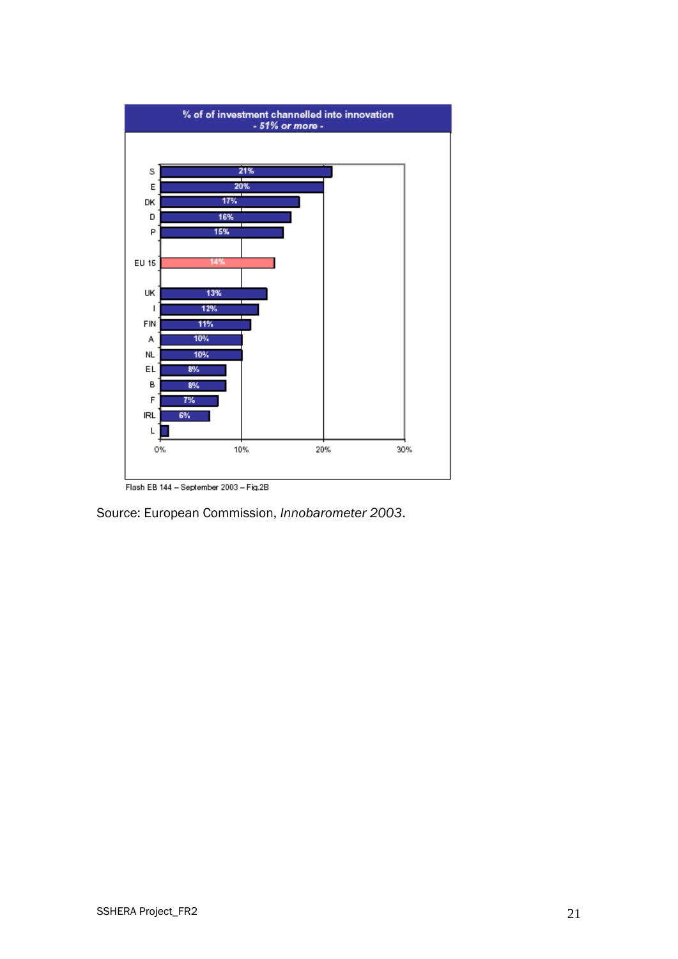

Flash EB 144 - September 2003 - Fig.2B

Source: European Commission, *Innobarometer 2003*.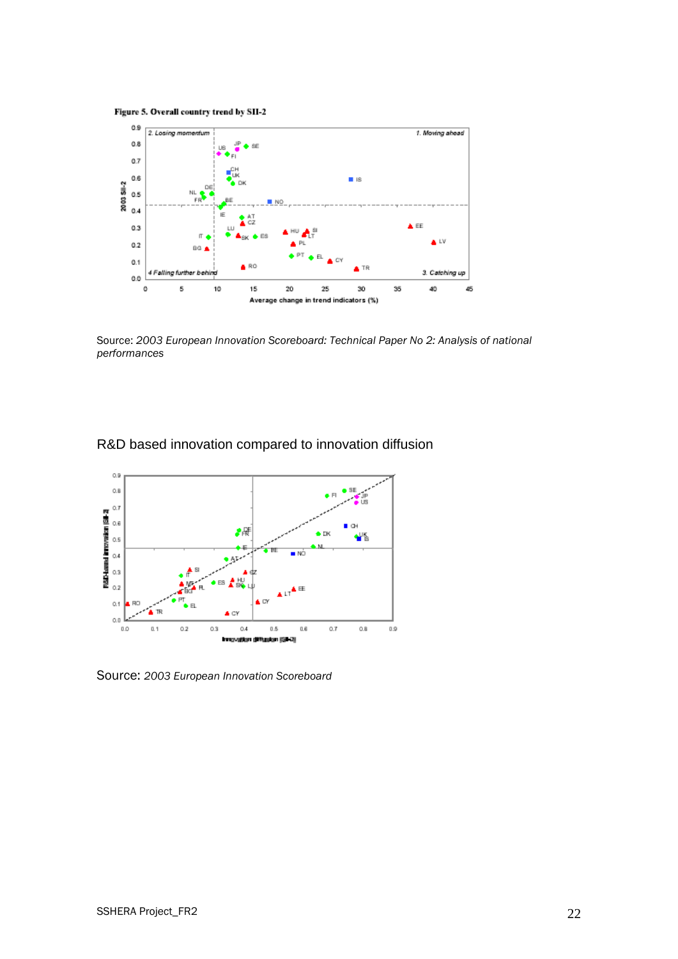Figure 5. Overall country trend by SII-2



Source: *2003 European Innovation Scoreboard: Technical Paper No 2: Analysis of national performances*

## R&D based innovation compared to innovation diffusion



Source: *2003 European Innovation Scoreboard*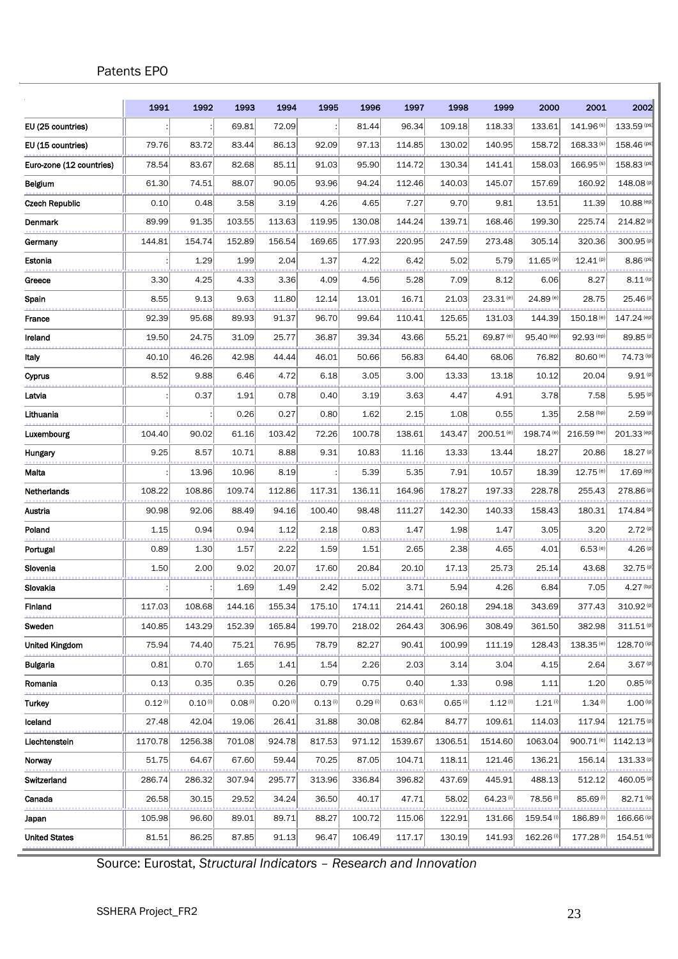## Patents EPO

|                          | 1991    | 1992         | 1993                  | 1994    | 1995    | 1996                  | 1997    | 1998                  | 1999                   | 2000                  | 2001                  | 2002                  |
|--------------------------|---------|--------------|-----------------------|---------|---------|-----------------------|---------|-----------------------|------------------------|-----------------------|-----------------------|-----------------------|
| EU (25 countries)        |         |              | 69.81                 | 72.09   |         | 81.44                 | 96.34   | 109.18                | 118.33                 | 133.61                | 141.96 <sup>(s)</sup> | 133.59 (ps)           |
| EU (15 countries)        | 79.76   | 83.72        | 83.44                 | 86.13   | 92.09   | 97.13                 | 114.85  | 130.02                | 140.95                 | 158.72                | $168.33^{(s)}$        | 158.46 (ps)           |
| Euro-zone (12 countries) | 78.54   | 83.67        | 82.68                 | 85.11   | 91.03   | 95.90                 | 114.72  | 130.34                | 141.41                 | 158.03                | $166.95^{(s)}$        | 158.83 (ps)           |
| Belgium                  | 61.30   | 74.51        | 88.07                 | 90.05   | 93.96   | 94.24                 | 112.46  | 140.03                | 145.07                 | 157.69                | 160.92                | 148.08(p)             |
| Czech Republic           | 0.10    | 0.48         | 3.58                  | 3.19    | 4.26    | 4.65                  | 7.27    | 9.70                  | 9.81                   | 13.51                 | 11.39                 | 10.88 (ep)            |
| Denmark                  | 89.99   | 91.35        | 103.55                | 113.63  | 119.95  | 130.08                | 144.24  | 139.71                | 168.46                 | 199.30                | 225.74                | 214.82 (p)            |
| Germanv                  | 144.81  | 154.74       | 152.89                | 156.54  | 169.65  | 177.93                | 220.95  | 247.59                | 273.48                 | 305.14                | 320.36                | 300.95 (p)            |
| Estonia                  |         | 1.29         | 1.99                  | 2.04    | 1.37    | 4.22                  | 6.42    | 5.02                  | 5.79                   | $11.65^{(p)}$         | $12.41^{(p)}$         | 8.86 (ps)             |
| Greece                   | 3.30    | 4.25         | 4.33                  | 3.36    | 4.09    | 4.56                  | 5.28    | 7.09                  | 8.12                   | 6.06                  | 8.27                  | $8.11$ (ip)           |
| Spain                    | 8.55    | 9.13         | 9.63                  | 11.80   | 12.14   | 13.01                 | 16.71   | 21.03                 | $23.31^{(e)}$          | 24.89 <sup>(e)</sup>  | 28.75                 | 25.46 (p)             |
| France                   | 92.39   | 95.68        | 89.93                 | 91.37   | 96.70   | 99.64                 | 110.41  | 125.65                | 131.03                 | 144.39                | 150.18 <sup>(e)</sup> | 147.24 (ep)           |
| Ireland                  | 19.50   | 24.75        | 31.09                 | 25.77   | 36.87   | 39.34                 | 43.66   | 55.21                 | 69.87 (e)              | 95.40 (ep)            | 92.93 (ep)            | 89.85 (p)             |
| Italy                    | 40.10   | 46.26        | 42.98                 | 44.44   | 46.01   | 50.66                 | 56.83   | 64.40                 | 68.06                  | 76.82                 | 80.60 (e)             | 74.73 (ip)            |
| Cyprus                   | 8.52    | 9.88         | 6.46                  | 4.72    | 6.18    | 3.05                  | 3.00    | 13.33                 | 13.18                  | 10.12                 | 20.04                 | 9.91(p)               |
| Latvia                   |         | 0.37         | 1.91                  | 0.78    | 0.40    | 3.19                  | 3.63    | 4.47                  | 4.91                   | 3.78                  | 7.58                  | 5.95(p)               |
| Lithuania                |         |              | 0.26                  | 0.27    | 0.80    | 1.62                  | 2.15    | 1.08                  | 0.55                   | 1.35                  | $2.58^{(bp)}$         | 2.59(p)               |
| Luxembourg               | 104.40  | 90.02        | 61.16                 | 103.42  | 72.26   | 100.78                | 138.61  | 143.47                | 200.51 <sup>(e)</sup>  | 198.74 <sup>(e)</sup> | 216.59 (be)           | 201.33 (ep)           |
| Hungary                  | 9.25    | 8.57         | 10.71                 | 8.88    | 9.31    | 10.83                 | 11.16   | 13.33                 | 13.44                  | 18.27                 | 20.86                 | 18.27 (p)             |
| Malta                    |         | 13.96        | 10.96                 | 8.19    |         | 5.39                  | 5.35    | 7.91                  | 10.57                  | 18.39                 | 12.75 (e)             | 17.69 (ep)            |
| Netherlands              | 108.22  | 108.86       | 109.74                | 112.86  | 117.31  | 136.11                | 164.96  | 178.27                | 197.33                 | 228.78                | 255.43                | 278.86 (p)            |
| Austria                  | 90.98   | 92.06        | 88.49                 | 94.16   | 100.40  | 98.48                 | 111.27  | 142.30                | 140.33                 | 158.43                | 180.31                | 174.84 (p)            |
| Poland                   | 1.15    | 0.94         | 0.94                  | 1.12    | 2.18    | 0.83                  | 1.47    | 1.98                  | 1.47                   | 3.05                  | 3.20                  | 2.72(p)               |
| Portugal                 | 0.89    | 1.30         | 1.57                  | 2.22    | 1.59    | 1.51                  | 2.65    | 2.38                  | 4.65                   | 4.01                  | $6.53$ <sup>(e)</sup> | 4.26(p)               |
| Slovenia                 | 1.50    | 2.00         | 9.02                  | 20.07   | 17.60   | 20.84                 | 20.10   | 17.13                 | 25.73                  | 25.14                 | 43.68                 | 32.75 (p)             |
| Slovakia                 |         |              | 1.69                  | 1.49    | 2.42    | 5.02                  | 3.71    | 5.94                  | 4.26                   | 6.84                  | 7.05                  | $4.27^{(bp)}$         |
| Finland                  | 117.03  | 108.68       | 144.16                | 155.34  | 175.10  | 174.11                | 214.41  | 260.18                | 294.18                 | 343.69                | 377.43                | 310.92(p)             |
| Sweden                   | 140.85  | 143.29       | 152.39                | 165.84  | 199.70  | 218.02                | 264.43  | 306.96                | 308.49                 | 361.50                | 382.98                | 311.51(p)             |
| United Kingdom           | 75.94   | 74.40        | 75.21                 | 76.95   | 78.79   | 82.27                 | 90.41   | 100.99                | 111.19                 | 128.43                | 138.35 <sup>(e)</sup> | 128.70 (ip)           |
| Bulgaria                 | 0.81    | 0.70         | 1.65                  | 1.41    | 1.54    | 2.26                  | 2.03    | 3.14                  | 3.04                   | 4.15                  | 2.64                  | 3.67(p)               |
| Romania                  | 0.13    | 0.35         | 0.35                  | 0.26    | 0.79    | 0.75                  | 0.40    | 1.33                  | 0.98                   | 1.11                  | 1.20                  | $0.85$ (ip)           |
| Turkey                   | 0.12(i) | $0.10^{(i)}$ | $0.08$ <sup>(i)</sup> | 0.20(i) | 0.13(i) | $0.29$ <sup>(i)</sup> | 0.63(i) | $0.65$ <sup>(i)</sup> | $1.12^{(i)}$           | $1.21^{(i)}$          | 1.34(i)               | $1.00($ ip)           |
| Iceland                  | 27.48   | 42.04        | 19.06                 | 26.41   | 31.88   | 30.08                 | 62.84   | 84.77                 | 109.61                 | 114.03                | 117.94                | 121.75 <sup>(p)</sup> |
| Liechtenstein            | 1170.78 | 1256.38      | 701.08                | 924.78  | 817.53  | 971.12                | 1539.67 | 1306.51               | 1514.60                | 1063.04               | 900.71 <sup>(e)</sup> | 1142.13(p)            |
| Norway                   | 51.75   | 64.67        | 67.60                 | 59.44   | 70.25   | 87.05                 | 104.71  | 118.11                | 121.46                 | 136.21                | 156.14                | 131.33(p)             |
| Switzerland              | 286.74  | 286.32       | 307.94                | 295.77  | 313.96  | 336.84                | 396.82  | 437.69                | 445.91                 | 488.13                | 512.12                | 460.05(p)             |
| Canada                   | 26.58   | 30.15        | 29.52                 | 34.24   | 36.50   | 40.17                 | 47.71   | 58.02                 | $64.23$ <sup>(i)</sup> | 78.56 <sup>(i)</sup>  | 85.69 <sup>(i)</sup>  | 82.71 (ip)            |
| Japan                    | 105.98  | 96.60        | 89.01                 | 89.71   | 88.27   | 100.72                | 115.06  | 122.91                | 131.66                 | 159.54 <sup>(i)</sup> | 186.89(i)             | 166.66 (ip)           |
| <b>United States</b>     | 81.51   | 86.25        | 87.85                 | 91.13   | 96.47   | 106.49                | 117.17  | 130.19                | 141.93                 | 162.26(i)             | 177.28 <sup>(i)</sup> | 154.51 (ip)           |

Source: Eurostat, *Structural Indicators – Research and Innovation*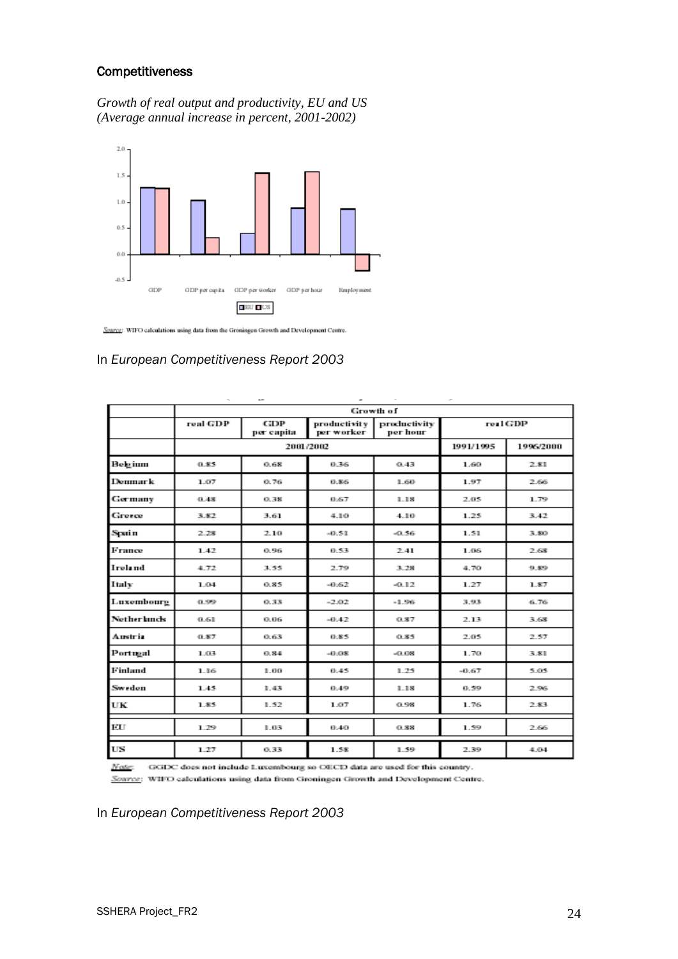### **Competitiveness**

*Growth of real output and productivity, EU and US (Average annual increase in percent, 2001-2002)*



Source: WIFO calculations using data from the Groningen Growth and Development Centre.

#### In *European Competitiveness Report 2003*

|                    | $\tau_{\rm in}$ | $\sim$            | ٠                            |                          | $\sigma$  |           |  |  |  |  |  |
|--------------------|-----------------|-------------------|------------------------------|--------------------------|-----------|-----------|--|--|--|--|--|
|                    | Growth of       |                   |                              |                          |           |           |  |  |  |  |  |
|                    | real GDP        | GDP<br>per capita | productivity  <br>per worker | productivity<br>per hour |           | real GDP  |  |  |  |  |  |
|                    |                 | 2001/2002         |                              |                          | 1991/1995 | 1996/2000 |  |  |  |  |  |
| Belgium            | 0.85            | 0.68              | 0.36                         | 0.43                     | 1.60      | 2.81      |  |  |  |  |  |
| Denmark            | 1.07            | 0.76              | 0.86                         | 1.60                     | 1.97      | 2.66      |  |  |  |  |  |
| Germany            | 0.43            | 0.38              | 0.67                         | 1.18                     | 2.05      | 1.79      |  |  |  |  |  |
| Greece             | 3.82            | 3.61              | 4.10                         | 4.10                     | 1.25      | 3.42      |  |  |  |  |  |
| Spain              | 2.28            | 2.10              | $-0.51$                      | $-0.56$                  | 1.51      | 3.80      |  |  |  |  |  |
| France             | 1.42            | 0.96              | 0.53                         | 2.41                     | 1.06      | 2.68      |  |  |  |  |  |
| Ireland            | 4.72            | 3.55              | 2.79                         | 3.28                     | 4.70      | 9.89      |  |  |  |  |  |
| Italy              | 1.04            | 0.85              | $-0.62$                      | $-0.12$                  | 1.27      | 1.87      |  |  |  |  |  |
| Luxembourg         | 0.99            | 0.33              | $-2.02$                      | $-1.96$                  | 3.93      | 6.76      |  |  |  |  |  |
| <b>Netherlands</b> | 0.61            | 0.06              | $-0.42$                      | 0.87                     | 2.13      | 3.68      |  |  |  |  |  |
| Austria            | 0.87            | 0.63              | 0.85                         | 0.85                     | 2.05      | 2.57      |  |  |  |  |  |
| Portugal           | 1.03            | 0.84              | $-0.08$                      | $-0.08$                  | 1.70      | 3.81      |  |  |  |  |  |
| Finland            | 1.16            | 1.00              | 0.45                         | 1.25                     | $-0.67$   | 5.05      |  |  |  |  |  |
| Sweden             | 1.45            | 1.43              | 0.49                         | 1.18                     | 0.59      | 2.96      |  |  |  |  |  |
| UК                 | 1.85            | 1.52              | 1.07                         | 0.98                     | 1.76      | 2.83      |  |  |  |  |  |
| ЕU                 | 1.29            | 1.03              | 0.40                         | 0.38                     | 1.59      | 2.66      |  |  |  |  |  |
| US                 | 1.27            | 0.33              | 1.58                         | 1.59                     | 2.39      | 4.04      |  |  |  |  |  |

Note: GGDC does not include Luxembourg so OECD data are used for this country.

Source: WIFO calculations using data from Groningen Growth and Development Centre.

In *European Competitiveness Report 2003*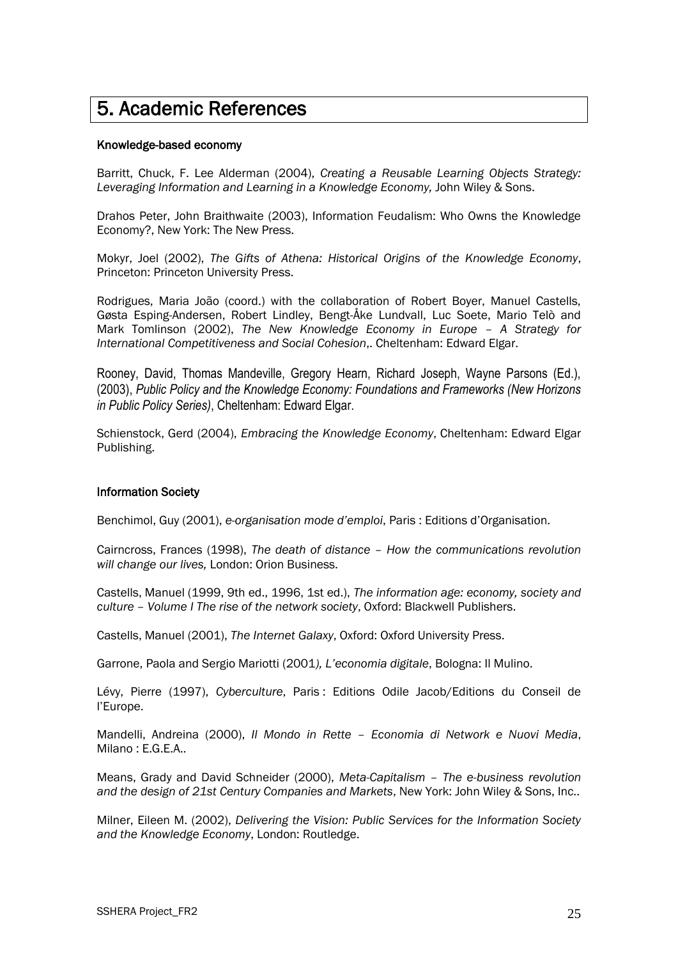# <span id="page-25-0"></span>5. Academic References

#### Knowledge-based economy

Barritt, Chuck, F. Lee Alderman (2004), *Creating a Reusable Learning Objects Strategy:*  Leveraging Information and Learning in a Knowledge Economy, John Wiley & Sons.

Drahos Peter, John Braithwaite (2003), Information Feudalism: Who Owns the Knowledge Economy?, New York: The New Press.

Mokyr, Joel (2002), *The Gifts of Athena: Historical Origins of the Knowledge Economy*, Princeton: Princeton University Press.

Rodrigues, Maria João (coord.) with the collaboration of Robert Boyer, Manuel Castells, Gøsta Esping-Andersen, Robert Lindley, Bengt-Åke Lundvall, Luc Soete, Mario Telò and Mark Tomlinson (2002), *The New Knowledge Economy in Europe – A Strategy for International Competitiveness and Social Cohesion*,. Cheltenham: Edward Elgar.

Rooney, David, Thomas Mandeville, Gregory Hearn, Richard Joseph, Wayne Parsons (Ed.), (2003), *Public Policy and the Knowledge Economy: Foundations and Frameworks (New Horizons in Public Policy Series)*, Cheltenham: Edward Elgar.

Schienstock, Gerd (2004), *Embracing the Knowledge Economy*, Cheltenham: Edward Elgar Publishing.

#### Information Society

Benchimol, Guy (2001), *e-organisation mode d"emploi*, Paris : Editions d"Organisation.

Cairncross, Frances (1998), *The death of distance – How the communications revolution will change our lives,* London: Orion Business.

Castells, Manuel (1999, 9th ed., 1996, 1st ed.), *The information age: economy, society and culture – Volume I The rise of the network society*, Oxford: Blackwell Publishers.

Castells, Manuel (2001), *The Internet Galaxy*, Oxford: Oxford University Press.

Garrone, Paola and Sergio Mariotti (2001*), L"economia digitale*, Bologna: Il Mulino.

Lévy, Pierre (1997), *Cyberculture*, Paris : Editions Odile Jacob/Editions du Conseil de l"Europe.

Mandelli, Andreina (2000), *Il Mondo in Rette – Economia di Network e Nuovi Media*, Milano : E.G.E.A..

Means, Grady and David Schneider (2000), *Meta-Capitalism – The e-business revolution and the design of 21st Century Companies and Markets*, New York: John Wiley & Sons, Inc..

Milner, Eileen M. (2002), *Delivering the Vision: Public Services for the Information Society and the Knowledge Economy*, London: Routledge.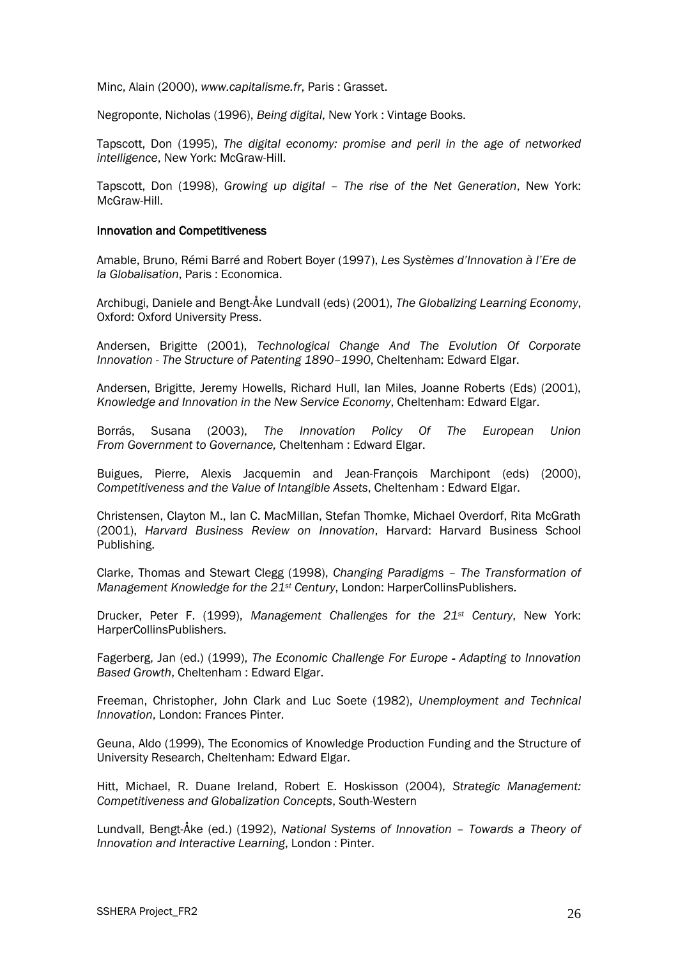Minc, Alain (2000), *[www.capitalisme.fr](http://www.capitalisme.fr/)*, Paris : Grasset.

Negroponte, Nicholas (1996), *Being digital*, New York : Vintage Books.

Tapscott, Don (1995), *The digital economy: promise and peril in the age of networked intelligence*, New York: McGraw-Hill.

Tapscott, Don (1998), *Growing up digital – The rise of the Net Generation*, New York: McGraw-Hill.

#### Innovation and Competitiveness

Amable, Bruno, Rémi Barré and Robert Boyer (1997), *Les Systèmes d"Innovation à l"Ere de la Globalisation*, Paris : Economica.

Archibugi, Daniele and Bengt-Åke Lundvall (eds) (2001), *The Globalizing Learning Economy*, Oxford: Oxford University Press.

Andersen, Brigitte (2001), *Technological Change And The Evolution Of Corporate Innovation - The Structure of Patenting 1890–1990*, Cheltenham: Edward Elgar.

Andersen, Brigitte, Jeremy Howells, Richard Hull, Ian Miles, Joanne Roberts (Eds) (2001), *Knowledge and Innovation in the New Service Economy*, Cheltenham: Edward Elgar.

Borrás, Susana (2003), *The Innovation Policy Of The European Union From Government to Governance,* Cheltenham : Edward Elgar.

Buigues, Pierre, Alexis Jacquemin and Jean-François Marchipont (eds) (2000), *Competitiveness and the Value of Intangible Assets*, Cheltenham : Edward Elgar.

Christensen, Clayton M., Ian C. MacMillan, Stefan Thomke, Michael Overdorf, Rita McGrath (2001), *Harvard Business Review on Innovation*, Harvard: Harvard Business School Publishing.

Clarke, Thomas and Stewart Clegg (1998), *Changing Paradigms – The Transformation of Management Knowledge for the 21st Century*, London: HarperCollinsPublishers.

Drucker, Peter F. (1999), *Management Challenges for the 21st Century*, New York: HarperCollinsPublishers.

Fagerberg, Jan (ed.) (1999), *The Economic Challenge For Europe - Adapting to Innovation Based Growth*, Cheltenham : Edward Elgar.

Freeman, Christopher, John Clark and Luc Soete (1982), *Unemployment and Technical Innovation*, London: Frances Pinter.

Geuna, Aldo (1999), The Economics of Knowledge Production Funding and the Structure of University Research, Cheltenham: Edward Elgar.

Hitt, Michael, R. Duane Ireland, Robert E. Hoskisson (2004), *Strategic Management: Competitiveness and Globalization Concepts*, South-Western

Lundvall, Bengt-Åke (ed.) (1992), *National Systems of Innovation – Towards a Theory of Innovation and Interactive Learning*, London : Pinter.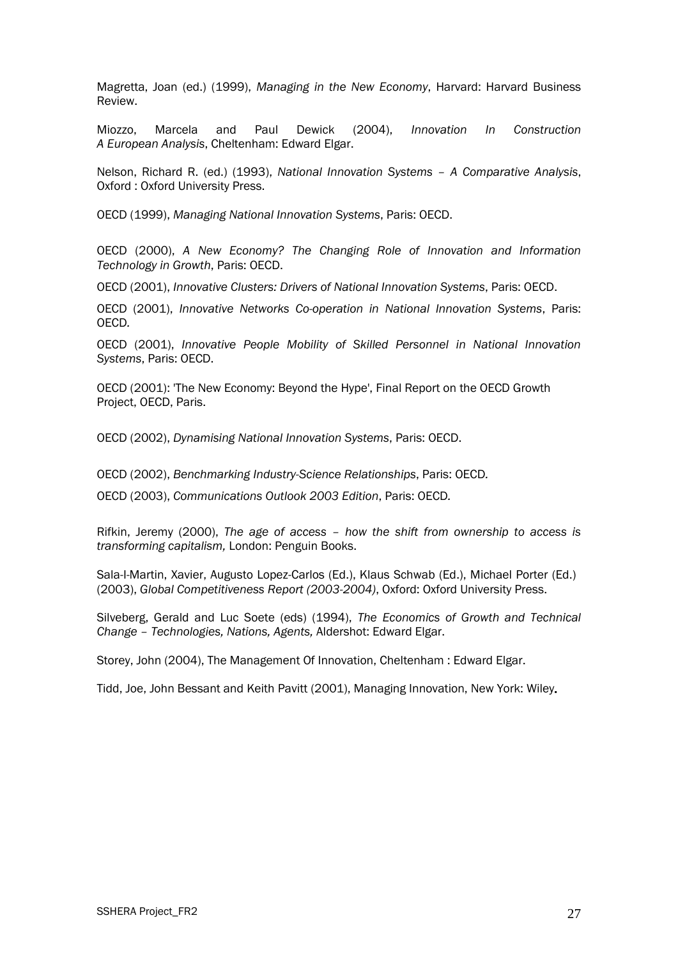Magretta, Joan (ed.) (1999), *Managing in the New Economy*, Harvard: Harvard Business Review.

Miozzo, Marcela and Paul Dewick (2004), *Innovation In Construction A European Analysis*, Cheltenham: Edward Elgar.

Nelson, Richard R. (ed.) (1993), *National Innovation Systems – A Comparative Analysis*, Oxford : Oxford University Press.

OECD (1999), *Managing National Innovation Systems*, Paris: OECD.

OECD (2000), *A New Economy? The Changing Role of Innovation and Information Technology in Growth*, Paris: OECD.

OECD (2001), *Innovative Clusters: Drivers of National Innovation Systems*, Paris: OECD.

OECD (2001), *Innovative Networks Co-operation in National Innovation Systems*, Paris: OECD*.*

OECD (2001), *Innovative People Mobility of Skilled Personnel in National Innovation Systems*, Paris: OECD.

OECD (2001): 'The New Economy: Beyond the Hype', Final Report on the OECD Growth Project, OECD, Paris.

OECD (2002), *Dynamising National Innovation Systems*, Paris: OECD.

OECD (2002), *Benchmarking Industry-Science Relationships*, Paris: OECD*.*

OECD (2003), *Communications Outlook 2003 Edition*, Paris: OECD*.*

Rifkin, Jeremy (2000), *The age of access – how the shift from ownership to access is transforming capitalism,* London: Penguin Books.

Sala-I-Martin, Xavier, Augusto Lopez-Carlos (Ed.), Klaus Schwab (Ed.), Michael Porter (Ed.) (2003), *Global Competitiveness Report (2003-2004)*, Oxford: Oxford University Press.

Silveberg, Gerald and Luc Soete (eds) (1994), *The Economics of Growth and Technical Change – Technologies, Nations, Agents,* Aldershot: Edward Elgar.

Storey, John (2004), The Management Of Innovation, Cheltenham : Edward Elgar.

Tidd, Joe, John Bessant and Keith Pavitt (2001), Managing Innovation, New York: Wiley.